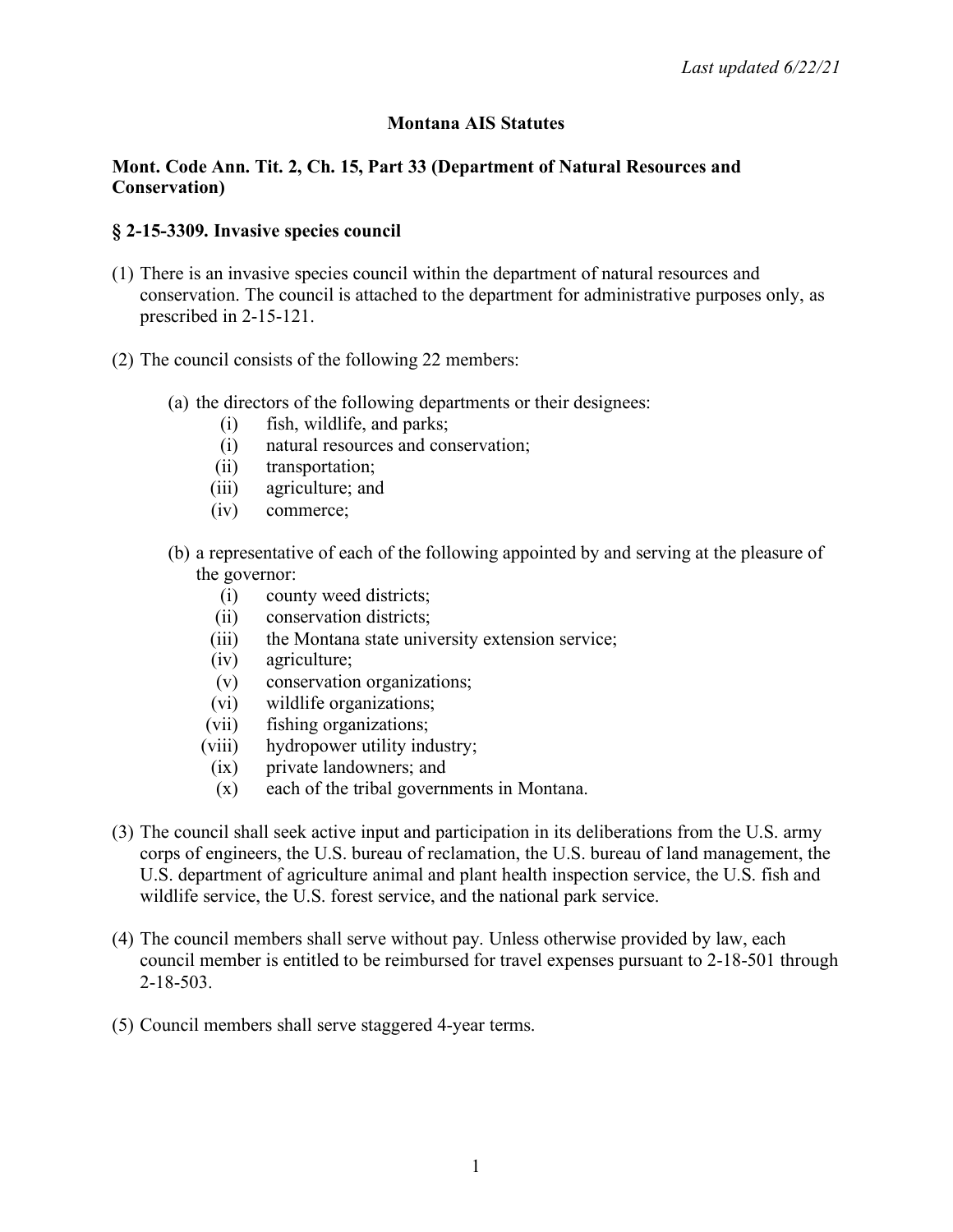### **Montana AIS Statutes**

#### **Mont. Code Ann. Tit. 2, Ch. 15, Part 33 (Department of Natural Resources and Conservation)**

#### **§ 2-15-3309. Invasive species council**

- (1) There is an invasive species council within the department of natural resources and conservation. The council is attached to the department for administrative purposes only, as prescribed in 2-15-121.
- (2) The council consists of the following 22 members:
	- (a) the directors of the following departments or their designees:
		- (i) fish, wildlife, and parks;
		- (i) natural resources and conservation;
		- (ii) transportation;
		- (iii) agriculture; and
		- (iv) commerce;
	- (b) a representative of each of the following appointed by and serving at the pleasure of the governor:
		- (i) county weed districts;
		- (ii) conservation districts;
		- (iii) the Montana state university extension service;
		- (iv) agriculture;
		- (v) conservation organizations;
		- (vi) wildlife organizations;
		- (vii) fishing organizations;
		- (viii) hydropower utility industry;
		- (ix) private landowners; and
		- (x) each of the tribal governments in Montana.
- (3) The council shall seek active input and participation in its deliberations from the U.S. army corps of engineers, the U.S. bureau of reclamation, the U.S. bureau of land management, the U.S. department of agriculture animal and plant health inspection service, the U.S. fish and wildlife service, the U.S. forest service, and the national park service.
- (4) The council members shall serve without pay. Unless otherwise provided by law, each council member is entitled to be reimbursed for travel expenses pursuant to 2-18-501 through 2-18-503.
- (5) Council members shall serve staggered 4-year terms.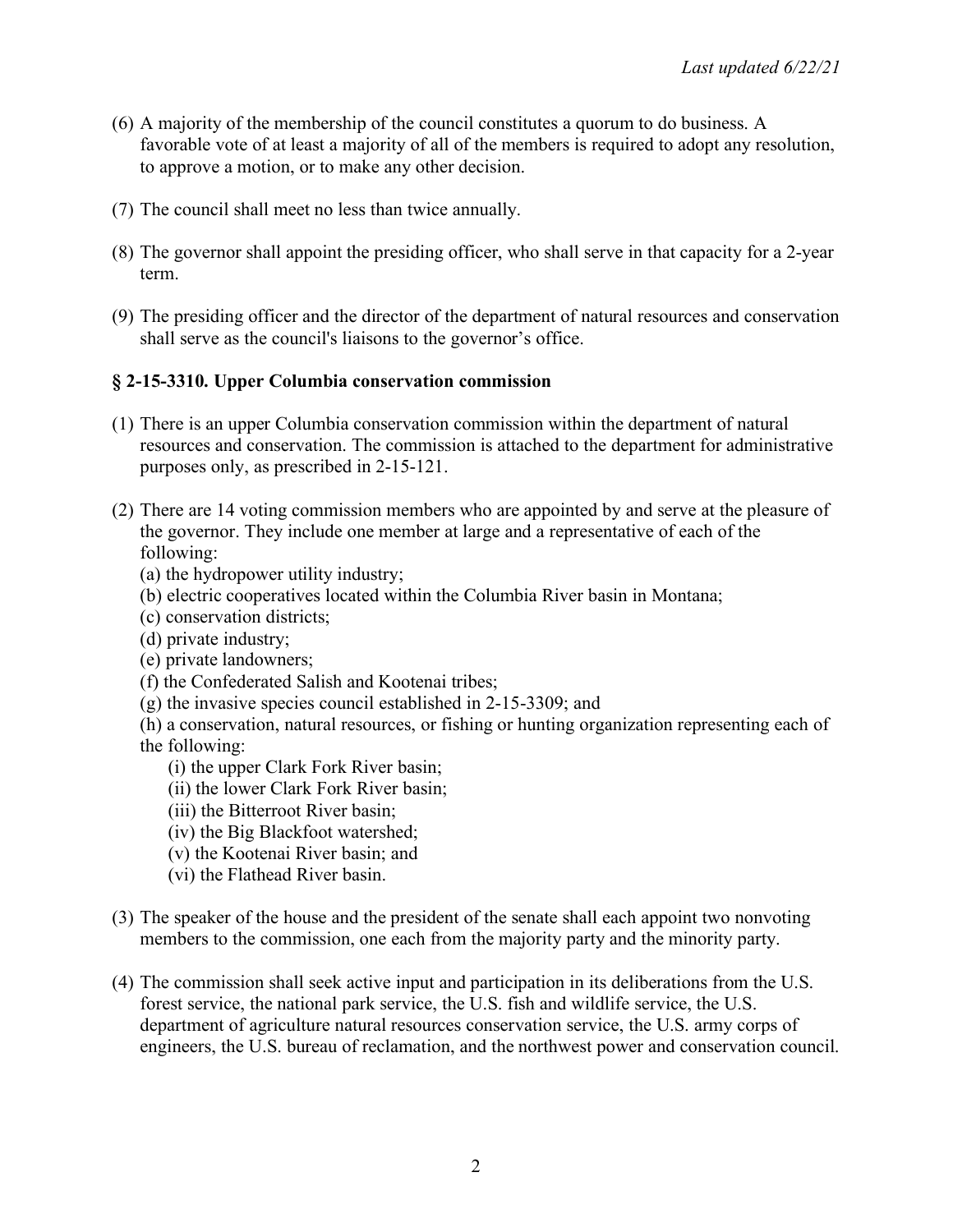- (6) A majority of the membership of the council constitutes a quorum to do business. A favorable vote of at least a majority of all of the members is required to adopt any resolution, to approve a motion, or to make any other decision.
- (7) The council shall meet no less than twice annually.
- (8) The governor shall appoint the presiding officer, who shall serve in that capacity for a 2-year term.
- (9) The presiding officer and the director of the department of natural resources and conservation shall serve as the council's liaisons to the governor's office.

# **§ 2-15-3310. Upper Columbia conservation commission**

- (1) There is an upper Columbia conservation commission within the department of natural resources and conservation. The commission is attached to the department for administrative purposes only, as prescribed in 2-15-121.
- (2) There are 14 voting commission members who are appointed by and serve at the pleasure of the governor. They include one member at large and a representative of each of the following:
	- (a) the hydropower utility industry;
	- (b) electric cooperatives located within the Columbia River basin in Montana;
	- (c) conservation districts;
	- (d) private industry;
	- (e) private landowners;
	- (f) the Confederated Salish and Kootenai tribes;
	- (g) the invasive species council established in 2-15-3309; and
	- (h) a conservation, natural resources, or fishing or hunting organization representing each of the following:
		- (i) the upper Clark Fork River basin;
		- (ii) the lower Clark Fork River basin;
		- (iii) the Bitterroot River basin;
		- (iv) the Big Blackfoot watershed;
		- (v) the Kootenai River basin; and
		- (vi) the Flathead River basin.
- (3) The speaker of the house and the president of the senate shall each appoint two nonvoting members to the commission, one each from the majority party and the minority party.
- (4) The commission shall seek active input and participation in its deliberations from the U.S. forest service, the national park service, the U.S. fish and wildlife service, the U.S. department of agriculture natural resources conservation service, the U.S. army corps of engineers, the U.S. bureau of reclamation, and the northwest power and conservation council.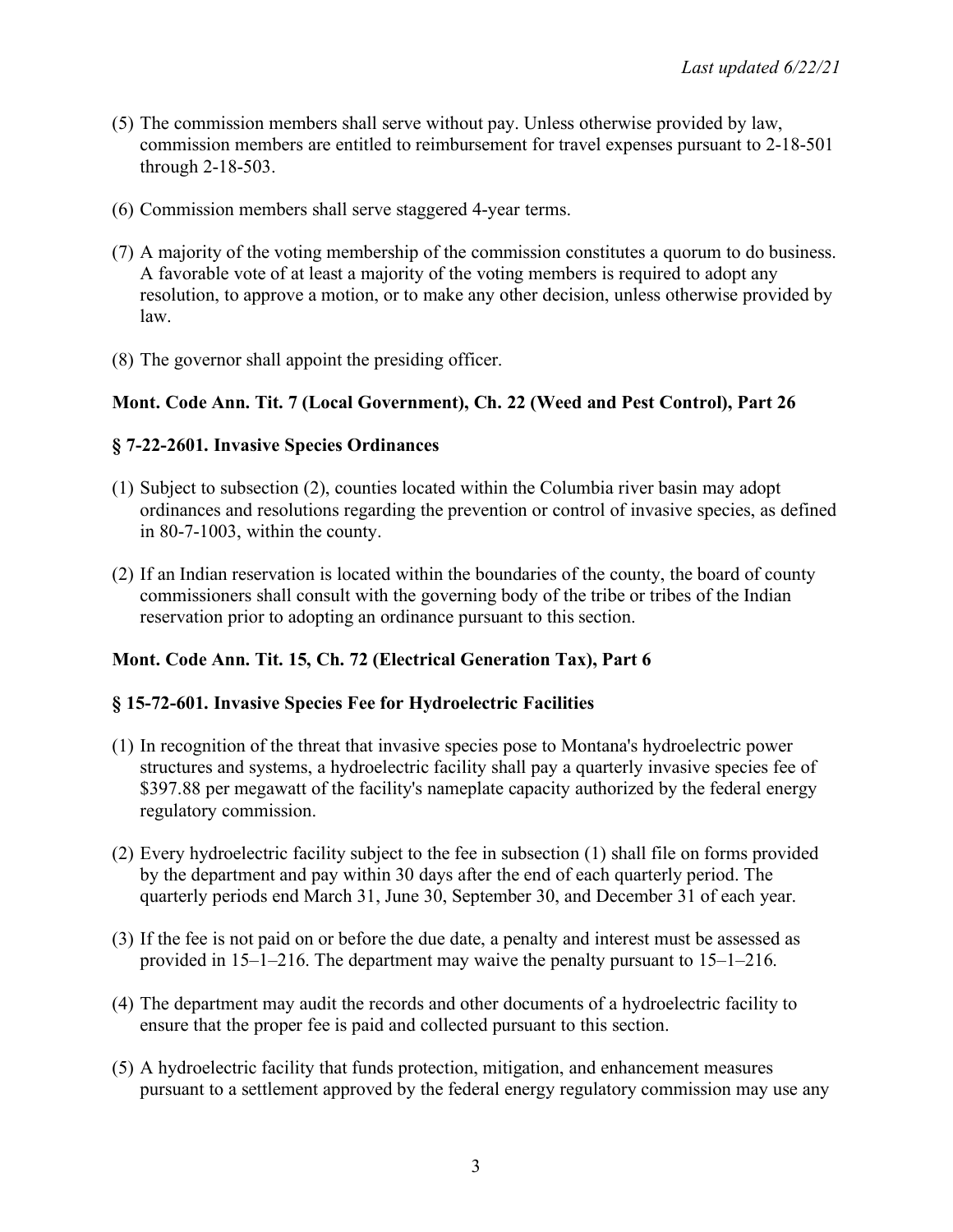- (5) The commission members shall serve without pay. Unless otherwise provided by law, commission members are entitled to reimbursement for travel expenses pursuant to 2-18-501 through 2-18-503.
- (6) Commission members shall serve staggered 4-year terms.
- (7) A majority of the voting membership of the commission constitutes a quorum to do business. A favorable vote of at least a majority of the voting members is required to adopt any resolution, to approve a motion, or to make any other decision, unless otherwise provided by law.
- (8) The governor shall appoint the presiding officer.

# **Mont. Code Ann. Tit. 7 (Local Government), Ch. 22 (Weed and Pest Control), Part 26**

# **§ 7-22-2601. Invasive Species Ordinances**

- (1) Subject to subsection (2), counties located within the Columbia river basin may adopt ordinances and resolutions regarding the prevention or control of invasive species, as defined in 80-7-1003, within the county.
- (2) If an Indian reservation is located within the boundaries of the county, the board of county commissioners shall consult with the governing body of the tribe or tribes of the Indian reservation prior to adopting an ordinance pursuant to this section.

# **Mont. Code Ann. Tit. 15, Ch. 72 (Electrical Generation Tax), Part 6**

# **§ 15-72-601. Invasive Species Fee for Hydroelectric Facilities**

- (1) In recognition of the threat that invasive species pose to Montana's hydroelectric power structures and systems, a hydroelectric facility shall pay a quarterly invasive species fee of \$397.88 per megawatt of the facility's nameplate capacity authorized by the federal energy regulatory commission.
- (2) Every hydroelectric facility subject to the fee in subsection (1) shall file on forms provided by the department and pay within 30 days after the end of each quarterly period. The quarterly periods end March 31, June 30, September 30, and December 31 of each year.
- (3) If the fee is not paid on or before the due date, a penalty and interest must be assessed as provided in 15–1–216. The department may waive the penalty pursuant to 15–1–216.
- (4) The department may audit the records and other documents of a hydroelectric facility to ensure that the proper fee is paid and collected pursuant to this section.
- (5) A hydroelectric facility that funds protection, mitigation, and enhancement measures pursuant to a settlement approved by the federal energy regulatory commission may use any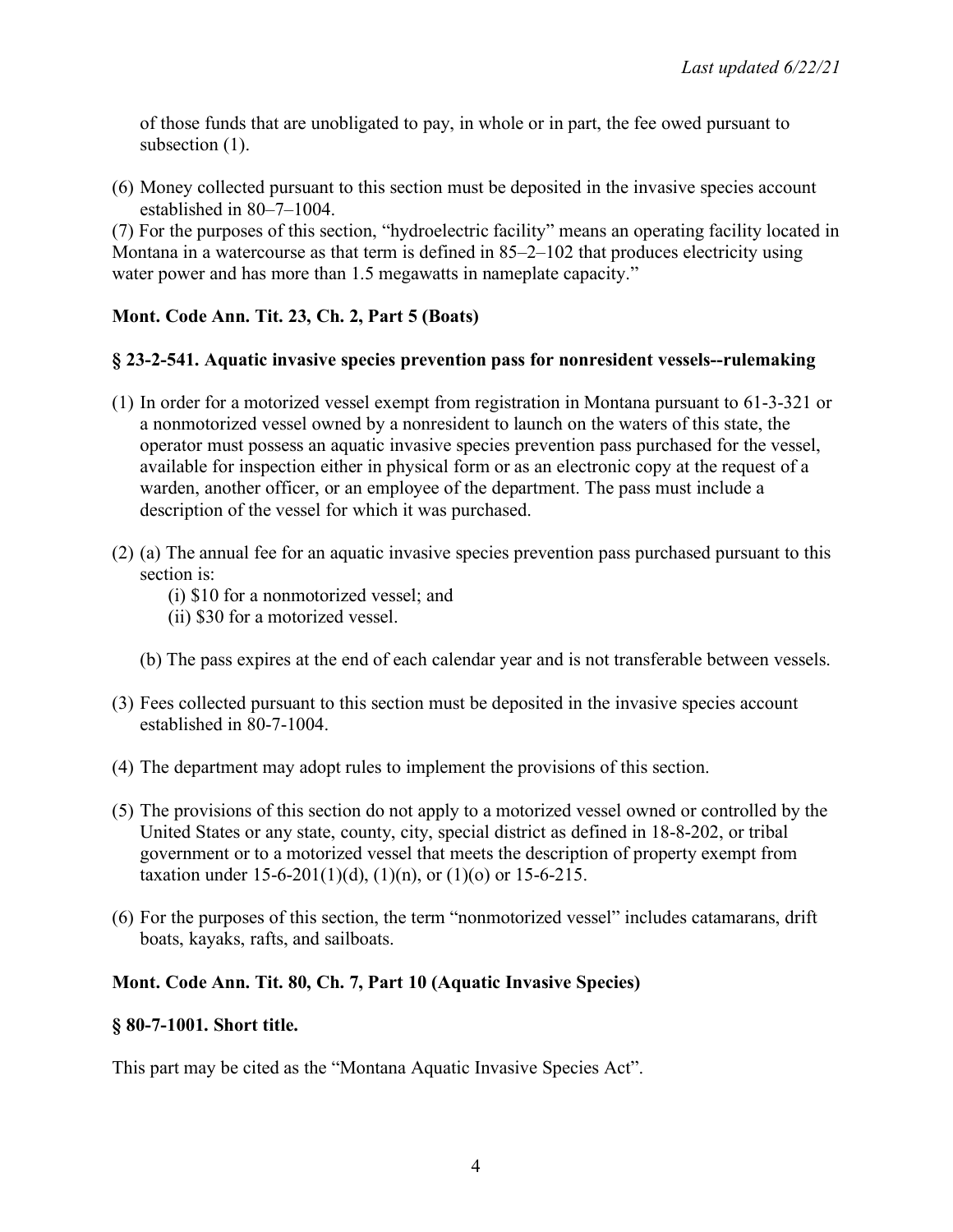of those funds that are unobligated to pay, in whole or in part, the fee owed pursuant to subsection  $(1)$ .

(6) Money collected pursuant to this section must be deposited in the invasive species account established in 80–7–1004.

(7) For the purposes of this section, "hydroelectric facility" means an operating facility located in Montana in a watercourse as that term is defined in 85–2–102 that produces electricity using water power and has more than 1.5 megawatts in nameplate capacity."

# **Mont. Code Ann. Tit. 23, Ch. 2, Part 5 (Boats)**

# **§ 23-2-541. Aquatic invasive species prevention pass for nonresident vessels--rulemaking**

- (1) In order for a motorized vessel exempt from registration in Montana pursuant to 61-3-321 or a nonmotorized vessel owned by a nonresident to launch on the waters of this state, the operator must possess an aquatic invasive species prevention pass purchased for the vessel, available for inspection either in physical form or as an electronic copy at the request of a warden, another officer, or an employee of the department. The pass must include a description of the vessel for which it was purchased.
- (2) (a) The annual fee for an aquatic invasive species prevention pass purchased pursuant to this section is:
	- (i) \$10 for a nonmotorized vessel; and
	- (ii) \$30 for a motorized vessel.
	- (b) The pass expires at the end of each calendar year and is not transferable between vessels.
- (3) Fees collected pursuant to this section must be deposited in the invasive species account established in 80-7-1004.
- (4) The department may adopt rules to implement the provisions of this section.
- (5) The provisions of this section do not apply to a motorized vessel owned or controlled by the United States or any state, county, city, special district as defined in 18-8-202, or tribal government or to a motorized vessel that meets the description of property exempt from taxation under  $15-6-201(1)(d)$ ,  $(1)(n)$ , or  $(1)(o)$  or  $15-6-215$ .
- (6) For the purposes of this section, the term "nonmotorized vessel" includes catamarans, drift boats, kayaks, rafts, and sailboats.

# **Mont. Code Ann. Tit. 80, Ch. 7, Part 10 (Aquatic Invasive Species)**

### **§ 80-7-1001. Short title.**

This part may be cited as the "Montana Aquatic Invasive Species Act".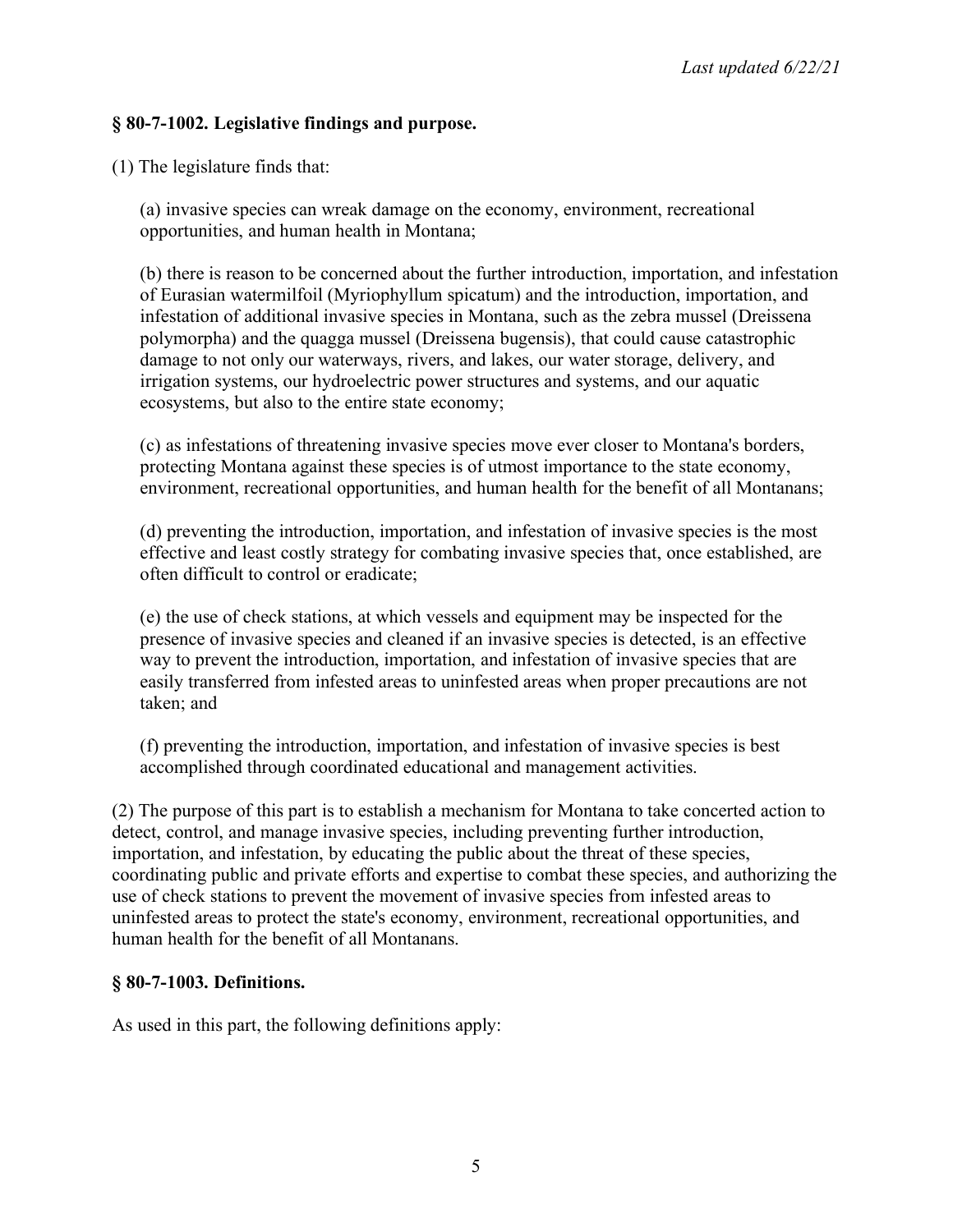### **§ 80-7-1002. Legislative findings and purpose.**

(1) The legislature finds that:

(a) invasive species can wreak damage on the economy, environment, recreational opportunities, and human health in Montana;

(b) there is reason to be concerned about the further introduction, importation, and infestation of Eurasian watermilfoil (Myriophyllum spicatum) and the introduction, importation, and infestation of additional invasive species in Montana, such as the zebra mussel (Dreissena polymorpha) and the quagga mussel (Dreissena bugensis), that could cause catastrophic damage to not only our waterways, rivers, and lakes, our water storage, delivery, and irrigation systems, our hydroelectric power structures and systems, and our aquatic ecosystems, but also to the entire state economy;

(c) as infestations of threatening invasive species move ever closer to Montana's borders, protecting Montana against these species is of utmost importance to the state economy, environment, recreational opportunities, and human health for the benefit of all Montanans;

(d) preventing the introduction, importation, and infestation of invasive species is the most effective and least costly strategy for combating invasive species that, once established, are often difficult to control or eradicate;

(e) the use of check stations, at which vessels and equipment may be inspected for the presence of invasive species and cleaned if an invasive species is detected, is an effective way to prevent the introduction, importation, and infestation of invasive species that are easily transferred from infested areas to uninfested areas when proper precautions are not taken; and

(f) preventing the introduction, importation, and infestation of invasive species is best accomplished through coordinated educational and management activities.

(2) The purpose of this part is to establish a mechanism for Montana to take concerted action to detect, control, and manage invasive species, including preventing further introduction, importation, and infestation, by educating the public about the threat of these species, coordinating public and private efforts and expertise to combat these species, and authorizing the use of check stations to prevent the movement of invasive species from infested areas to uninfested areas to protect the state's economy, environment, recreational opportunities, and human health for the benefit of all Montanans.

### **§ 80-7-1003. Definitions.**

As used in this part, the following definitions apply: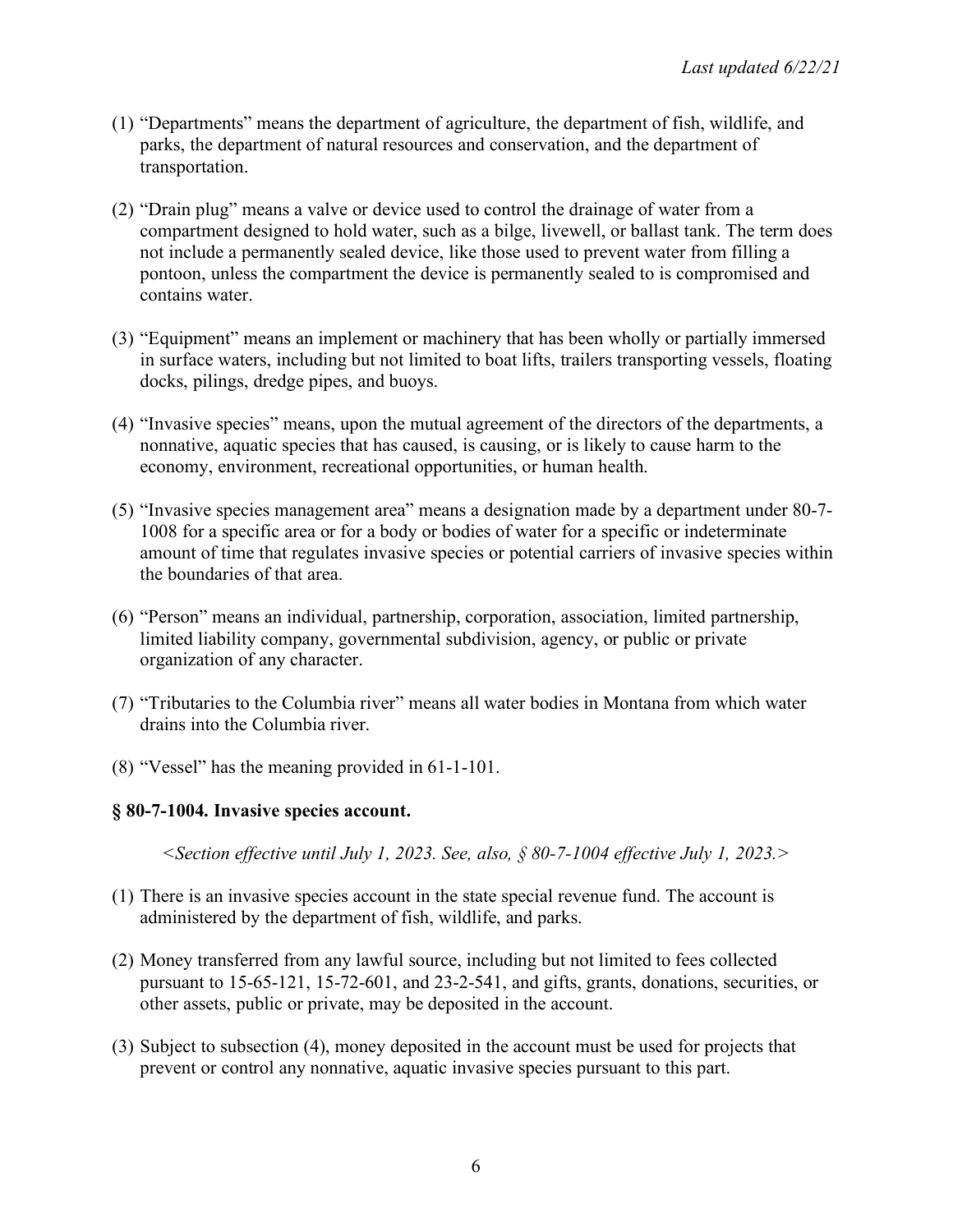- (1) "Departments" means the department of agriculture, the department of fish, wildlife, and parks, the department of natural resources and conservation, and the department of transportation.
- (2) "Drain plug" means a valve or device used to control the drainage of water from a compartment designed to hold water, such as a bilge, livewell, or ballast tank. The term does not include a permanently sealed device, like those used to prevent water from filling a pontoon, unless the compartment the device is permanently sealed to is compromised and contains water.
- (3) "Equipment" means an implement or machinery that has been wholly or partially immersed in surface waters, including but not limited to boat lifts, trailers transporting vessels, floating docks, pilings, dredge pipes, and buoys.
- (4) "Invasive species" means, upon the mutual agreement of the directors of the departments, a nonnative, aquatic species that has caused, is causing, or is likely to cause harm to the economy, environment, recreational opportunities, or human health.
- (5) "Invasive species management area" means a designation made by a department under 80-7- 1008 for a specific area or for a body or bodies of water for a specific or indeterminate amount of time that regulates invasive species or potential carriers of invasive species within the boundaries of that area.
- (6) "Person" means an individual, partnership, corporation, association, limited partnership, limited liability company, governmental subdivision, agency, or public or private organization of any character.
- (7) "Tributaries to the Columbia river" means all water bodies in Montana from which water drains into the Columbia river.
- (8) "Vessel" has the meaning provided in 61-1-101.

#### **§ 80-7-1004. Invasive species account.**

*<Section effective until July 1, 2023. See, also, § 80-7-1004 effective July 1, 2023.>*

- (1) There is an invasive species account in the state special revenue fund. The account is administered by the department of fish, wildlife, and parks.
- (2) Money transferred from any lawful source, including but not limited to fees collected pursuant to 15-65-121, 15-72-601, and 23-2-541, and gifts, grants, donations, securities, or other assets, public or private, may be deposited in the account.
- (3) Subject to subsection (4), money deposited in the account must be used for projects that prevent or control any nonnative, aquatic invasive species pursuant to this part.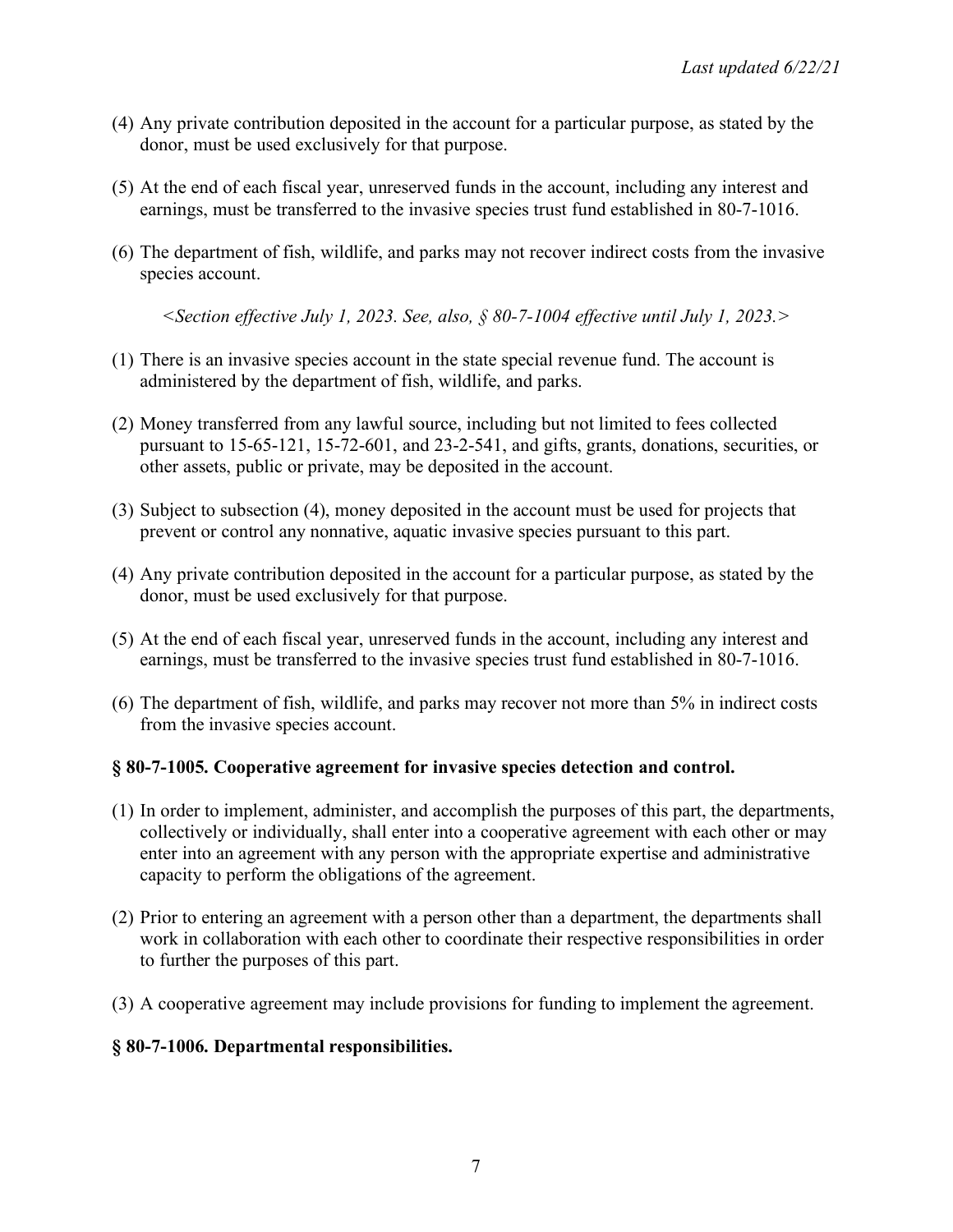- (4) Any private contribution deposited in the account for a particular purpose, as stated by the donor, must be used exclusively for that purpose.
- (5) At the end of each fiscal year, unreserved funds in the account, including any interest and earnings, must be transferred to the invasive species trust fund established in 80-7-1016.
- (6) The department of fish, wildlife, and parks may not recover indirect costs from the invasive species account.

*<Section effective July 1, 2023. See, also, § 80-7-1004 effective until July 1, 2023.>*

- (1) There is an invasive species account in the state special revenue fund. The account is administered by the department of fish, wildlife, and parks.
- (2) Money transferred from any lawful source, including but not limited to fees collected pursuant to 15-65-121, 15-72-601, and 23-2-541, and gifts, grants, donations, securities, or other assets, public or private, may be deposited in the account.
- (3) Subject to subsection (4), money deposited in the account must be used for projects that prevent or control any nonnative, aquatic invasive species pursuant to this part.
- (4) Any private contribution deposited in the account for a particular purpose, as stated by the donor, must be used exclusively for that purpose.
- (5) At the end of each fiscal year, unreserved funds in the account, including any interest and earnings, must be transferred to the invasive species trust fund established in 80-7-1016.
- (6) The department of fish, wildlife, and parks may recover not more than 5% in indirect costs from the invasive species account.

# **§ 80-7-1005. Cooperative agreement for invasive species detection and control.**

- (1) In order to implement, administer, and accomplish the purposes of this part, the departments, collectively or individually, shall enter into a cooperative agreement with each other or may enter into an agreement with any person with the appropriate expertise and administrative capacity to perform the obligations of the agreement.
- (2) Prior to entering an agreement with a person other than a department, the departments shall work in collaboration with each other to coordinate their respective responsibilities in order to further the purposes of this part.
- (3) A cooperative agreement may include provisions for funding to implement the agreement.

# **§ 80-7-1006. Departmental responsibilities.**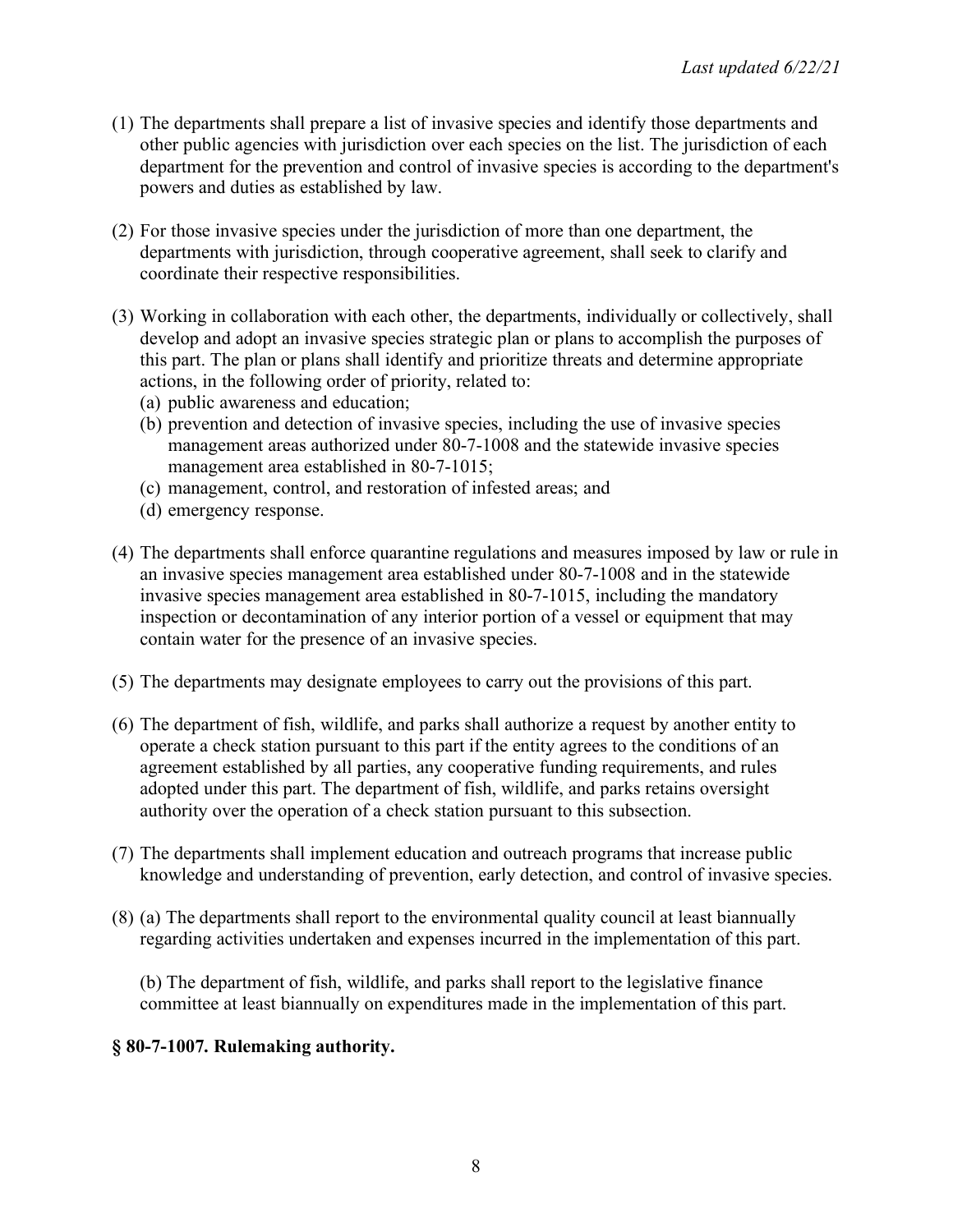- (1) The departments shall prepare a list of invasive species and identify those departments and other public agencies with jurisdiction over each species on the list. The jurisdiction of each department for the prevention and control of invasive species is according to the department's powers and duties as established by law.
- (2) For those invasive species under the jurisdiction of more than one department, the departments with jurisdiction, through cooperative agreement, shall seek to clarify and coordinate their respective responsibilities.
- (3) Working in collaboration with each other, the departments, individually or collectively, shall develop and adopt an invasive species strategic plan or plans to accomplish the purposes of this part. The plan or plans shall identify and prioritize threats and determine appropriate actions, in the following order of priority, related to:
	- (a) public awareness and education;
	- (b) prevention and detection of invasive species, including the use of invasive species management areas authorized under 80-7-1008 and the statewide invasive species management area established in 80-7-1015;
	- (c) management, control, and restoration of infested areas; and
	- (d) emergency response.
- (4) The departments shall enforce quarantine regulations and measures imposed by law or rule in an invasive species management area established under 80-7-1008 and in the statewide invasive species management area established in 80-7-1015, including the mandatory inspection or decontamination of any interior portion of a vessel or equipment that may contain water for the presence of an invasive species.
- (5) The departments may designate employees to carry out the provisions of this part.
- (6) The department of fish, wildlife, and parks shall authorize a request by another entity to operate a check station pursuant to this part if the entity agrees to the conditions of an agreement established by all parties, any cooperative funding requirements, and rules adopted under this part. The department of fish, wildlife, and parks retains oversight authority over the operation of a check station pursuant to this subsection.
- (7) The departments shall implement education and outreach programs that increase public knowledge and understanding of prevention, early detection, and control of invasive species.
- (8) (a) The departments shall report to the environmental quality council at least biannually regarding activities undertaken and expenses incurred in the implementation of this part.

(b) The department of fish, wildlife, and parks shall report to the legislative finance committee at least biannually on expenditures made in the implementation of this part.

### **§ 80-7-1007. Rulemaking authority.**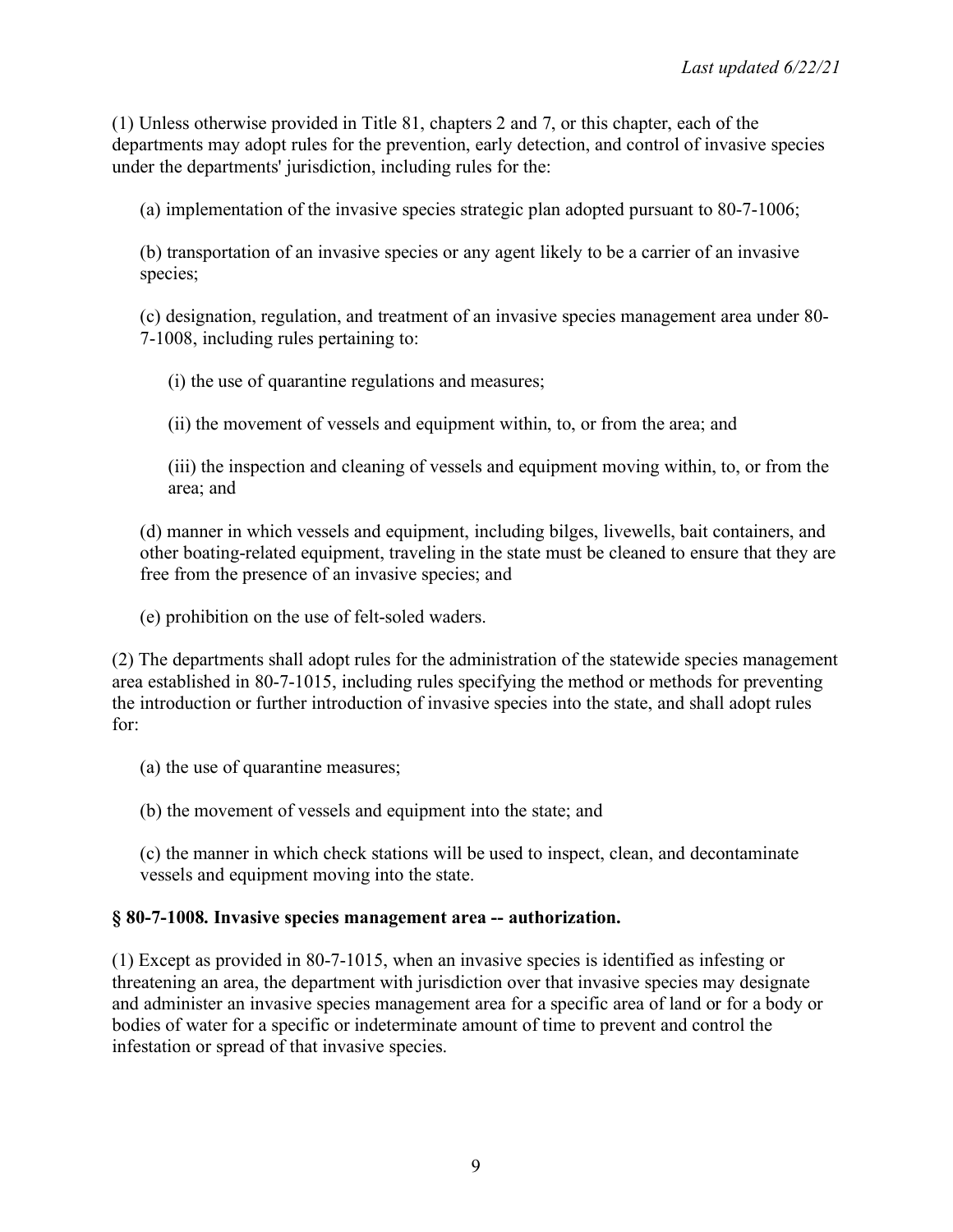(1) Unless otherwise provided in Title 81, chapters 2 and 7, or this chapter, each of the departments may adopt rules for the prevention, early detection, and control of invasive species under the departments' jurisdiction, including rules for the:

(a) implementation of the invasive species strategic plan adopted pursuant to 80-7-1006;

(b) transportation of an invasive species or any agent likely to be a carrier of an invasive species;

(c) designation, regulation, and treatment of an invasive species management area under 80- 7-1008, including rules pertaining to:

(i) the use of quarantine regulations and measures;

(ii) the movement of vessels and equipment within, to, or from the area; and

(iii) the inspection and cleaning of vessels and equipment moving within, to, or from the area; and

(d) manner in which vessels and equipment, including bilges, livewells, bait containers, and other boating-related equipment, traveling in the state must be cleaned to ensure that they are free from the presence of an invasive species; and

(e) prohibition on the use of felt-soled waders.

(2) The departments shall adopt rules for the administration of the statewide species management area established in 80-7-1015, including rules specifying the method or methods for preventing the introduction or further introduction of invasive species into the state, and shall adopt rules for:

(a) the use of quarantine measures;

(b) the movement of vessels and equipment into the state; and

(c) the manner in which check stations will be used to inspect, clean, and decontaminate vessels and equipment moving into the state.

### **§ 80-7-1008. Invasive species management area -- authorization.**

(1) Except as provided in 80-7-1015, when an invasive species is identified as infesting or threatening an area, the department with jurisdiction over that invasive species may designate and administer an invasive species management area for a specific area of land or for a body or bodies of water for a specific or indeterminate amount of time to prevent and control the infestation or spread of that invasive species.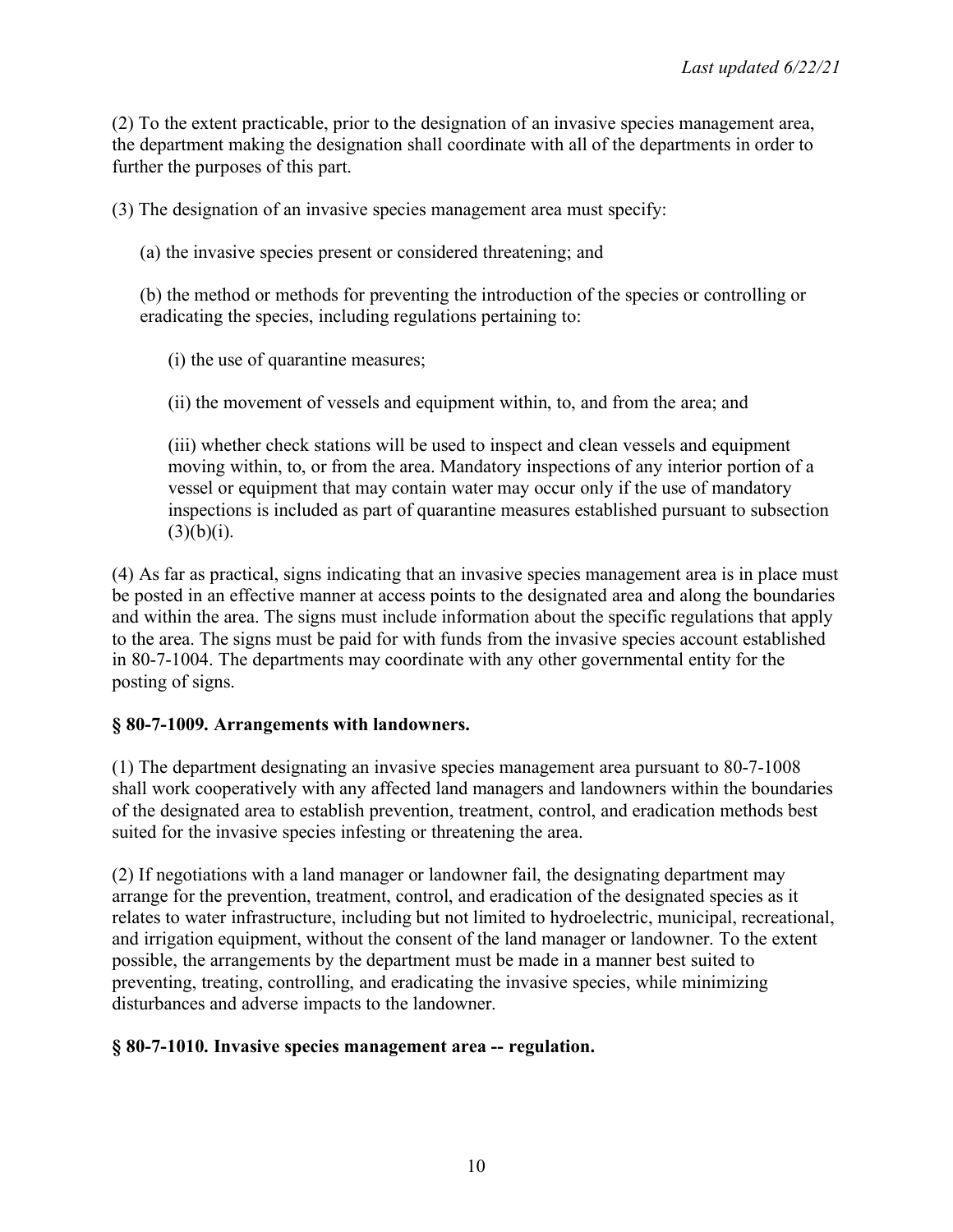(2) To the extent practicable, prior to the designation of an invasive species management area, the department making the designation shall coordinate with all of the departments in order to further the purposes of this part.

(3) The designation of an invasive species management area must specify:

(a) the invasive species present or considered threatening; and

(b) the method or methods for preventing the introduction of the species or controlling or eradicating the species, including regulations pertaining to:

(i) the use of quarantine measures;

(ii) the movement of vessels and equipment within, to, and from the area; and

(iii) whether check stations will be used to inspect and clean vessels and equipment moving within, to, or from the area. Mandatory inspections of any interior portion of a vessel or equipment that may contain water may occur only if the use of mandatory inspections is included as part of quarantine measures established pursuant to subsection  $(3)(b)(i)$ .

(4) As far as practical, signs indicating that an invasive species management area is in place must be posted in an effective manner at access points to the designated area and along the boundaries and within the area. The signs must include information about the specific regulations that apply to the area. The signs must be paid for with funds from the invasive species account established in 80-7-1004. The departments may coordinate with any other governmental entity for the posting of signs.

### **§ 80-7-1009. Arrangements with landowners.**

(1) The department designating an invasive species management area pursuant to 80-7-1008 shall work cooperatively with any affected land managers and landowners within the boundaries of the designated area to establish prevention, treatment, control, and eradication methods best suited for the invasive species infesting or threatening the area.

(2) If negotiations with a land manager or landowner fail, the designating department may arrange for the prevention, treatment, control, and eradication of the designated species as it relates to water infrastructure, including but not limited to hydroelectric, municipal, recreational, and irrigation equipment, without the consent of the land manager or landowner. To the extent possible, the arrangements by the department must be made in a manner best suited to preventing, treating, controlling, and eradicating the invasive species, while minimizing disturbances and adverse impacts to the landowner.

# **§ 80-7-1010. Invasive species management area -- regulation.**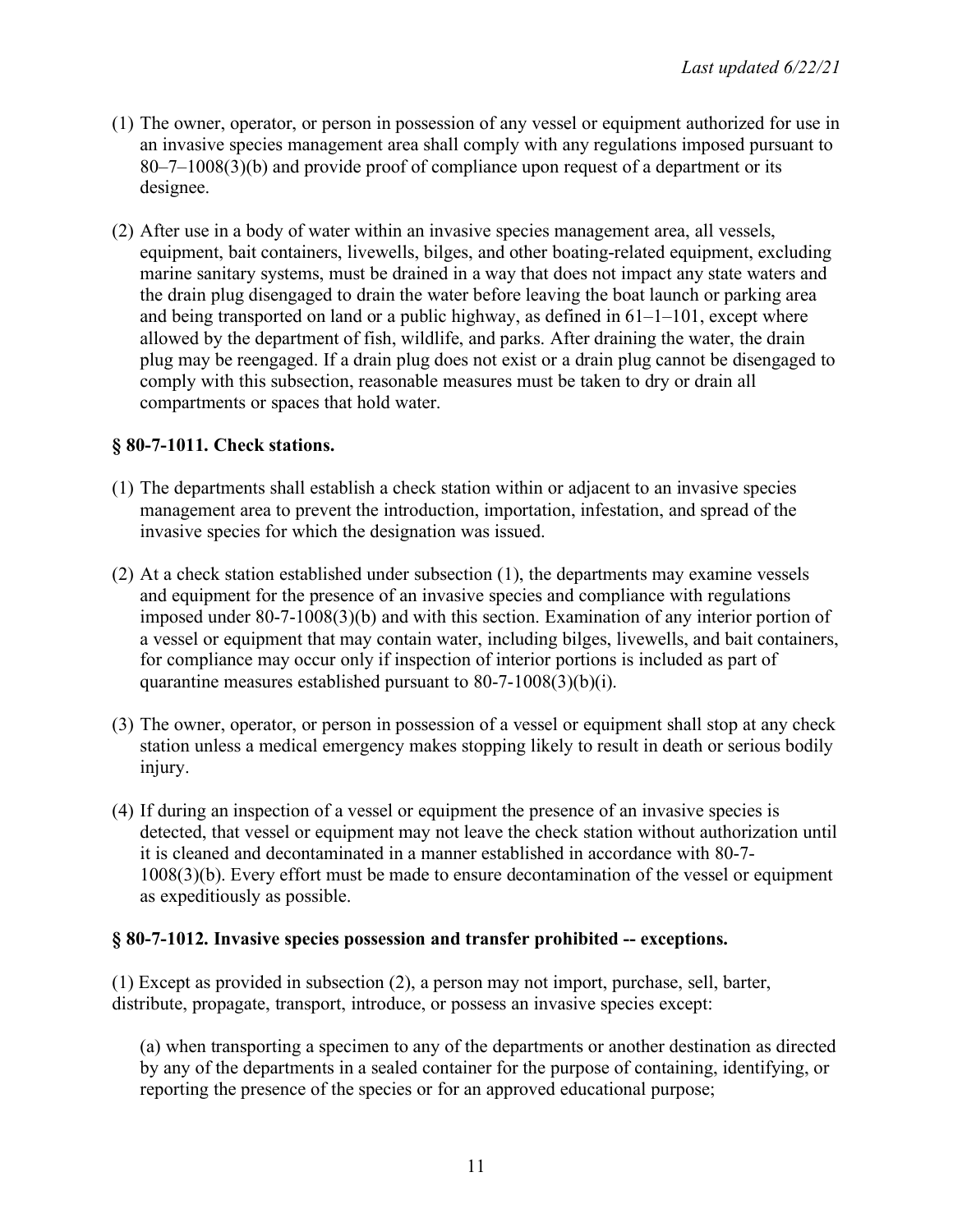- (1) The owner, operator, or person in possession of any vessel or equipment authorized for use in an invasive species management area shall comply with any regulations imposed pursuant to 80–7–1008(3)(b) and provide proof of compliance upon request of a department or its designee.
- (2) After use in a body of water within an invasive species management area, all vessels, equipment, bait containers, livewells, bilges, and other boating-related equipment, excluding marine sanitary systems, must be drained in a way that does not impact any state waters and the drain plug disengaged to drain the water before leaving the boat launch or parking area and being transported on land or a public highway, as defined in 61–1–101, except where allowed by the department of fish, wildlife, and parks. After draining the water, the drain plug may be reengaged. If a drain plug does not exist or a drain plug cannot be disengaged to comply with this subsection, reasonable measures must be taken to dry or drain all compartments or spaces that hold water.

# **§ 80-7-1011. Check stations.**

- (1) The departments shall establish a check station within or adjacent to an invasive species management area to prevent the introduction, importation, infestation, and spread of the invasive species for which the designation was issued.
- (2) At a check station established under subsection (1), the departments may examine vessels and equipment for the presence of an invasive species and compliance with regulations imposed under 80-7-1008(3)(b) and with this section. Examination of any interior portion of a vessel or equipment that may contain water, including bilges, livewells, and bait containers, for compliance may occur only if inspection of interior portions is included as part of quarantine measures established pursuant to 80-7-1008(3)(b)(i).
- (3) The owner, operator, or person in possession of a vessel or equipment shall stop at any check station unless a medical emergency makes stopping likely to result in death or serious bodily injury.
- (4) If during an inspection of a vessel or equipment the presence of an invasive species is detected, that vessel or equipment may not leave the check station without authorization until it is cleaned and decontaminated in a manner established in accordance with 80-7- 1008(3)(b). Every effort must be made to ensure decontamination of the vessel or equipment as expeditiously as possible.

### **§ 80-7-1012. Invasive species possession and transfer prohibited -- exceptions.**

(1) Except as provided in subsection (2), a person may not import, purchase, sell, barter, distribute, propagate, transport, introduce, or possess an invasive species except:

(a) when transporting a specimen to any of the departments or another destination as directed by any of the departments in a sealed container for the purpose of containing, identifying, or reporting the presence of the species or for an approved educational purpose;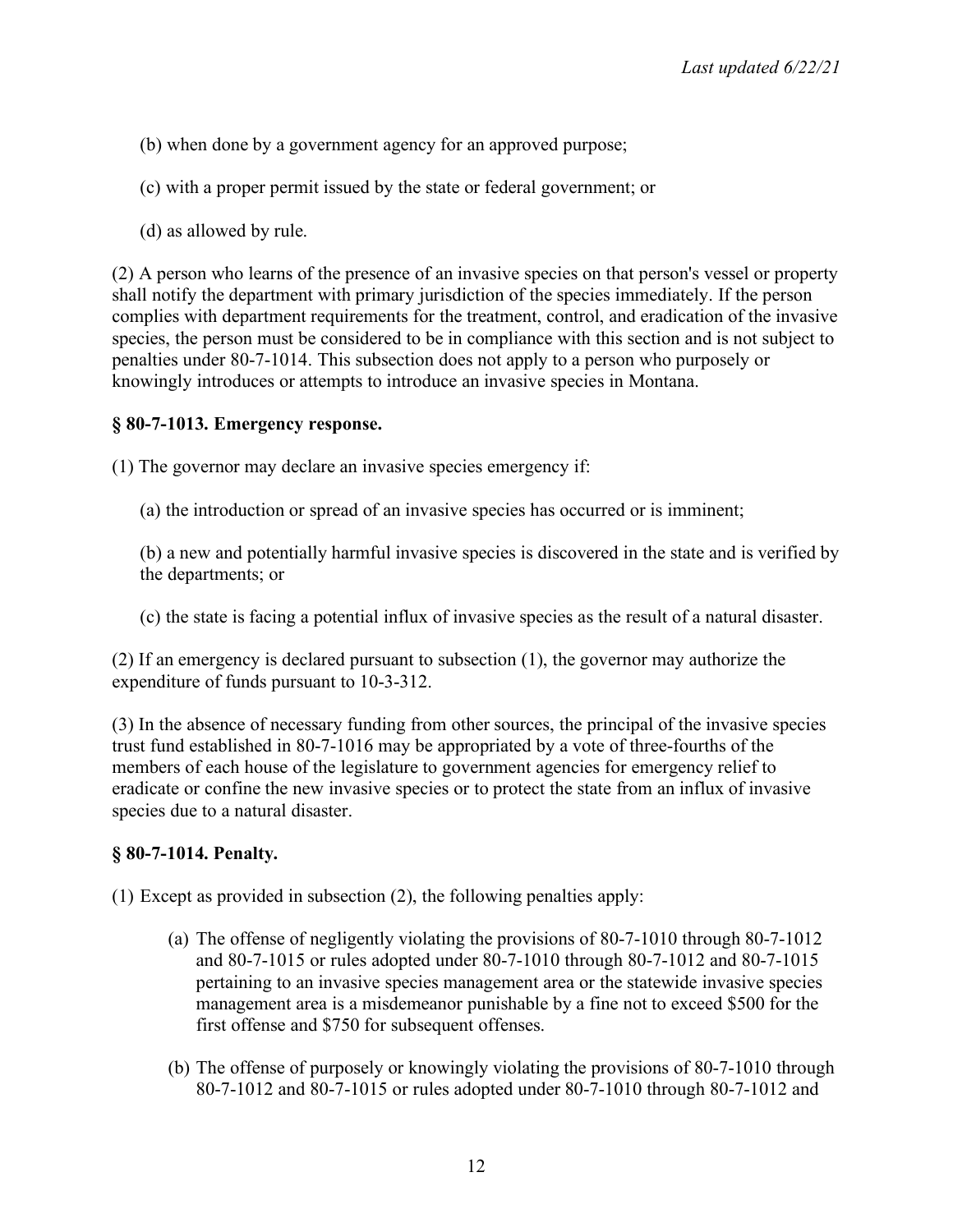(b) when done by a government agency for an approved purpose;

(c) with a proper permit issued by the state or federal government; or

(d) as allowed by rule.

(2) A person who learns of the presence of an invasive species on that person's vessel or property shall notify the department with primary jurisdiction of the species immediately. If the person complies with department requirements for the treatment, control, and eradication of the invasive species, the person must be considered to be in compliance with this section and is not subject to penalties under 80-7-1014. This subsection does not apply to a person who purposely or knowingly introduces or attempts to introduce an invasive species in Montana.

### **§ 80-7-1013. Emergency response.**

(1) The governor may declare an invasive species emergency if:

(a) the introduction or spread of an invasive species has occurred or is imminent;

(b) a new and potentially harmful invasive species is discovered in the state and is verified by the departments; or

(c) the state is facing a potential influx of invasive species as the result of a natural disaster.

(2) If an emergency is declared pursuant to subsection (1), the governor may authorize the expenditure of funds pursuant to 10-3-312.

(3) In the absence of necessary funding from other sources, the principal of the invasive species trust fund established in 80-7-1016 may be appropriated by a vote of three-fourths of the members of each house of the legislature to government agencies for emergency relief to eradicate or confine the new invasive species or to protect the state from an influx of invasive species due to a natural disaster.

# **§ 80-7-1014. Penalty.**

(1) Except as provided in subsection (2), the following penalties apply:

- (a) The offense of negligently violating the provisions of 80-7-1010 through 80-7-1012 and 80-7-1015 or rules adopted under 80-7-1010 through 80-7-1012 and 80-7-1015 pertaining to an invasive species management area or the statewide invasive species management area is a misdemeanor punishable by a fine not to exceed \$500 for the first offense and \$750 for subsequent offenses.
- (b) The offense of purposely or knowingly violating the provisions of 80-7-1010 through 80-7-1012 and 80-7-1015 or rules adopted under 80-7-1010 through 80-7-1012 and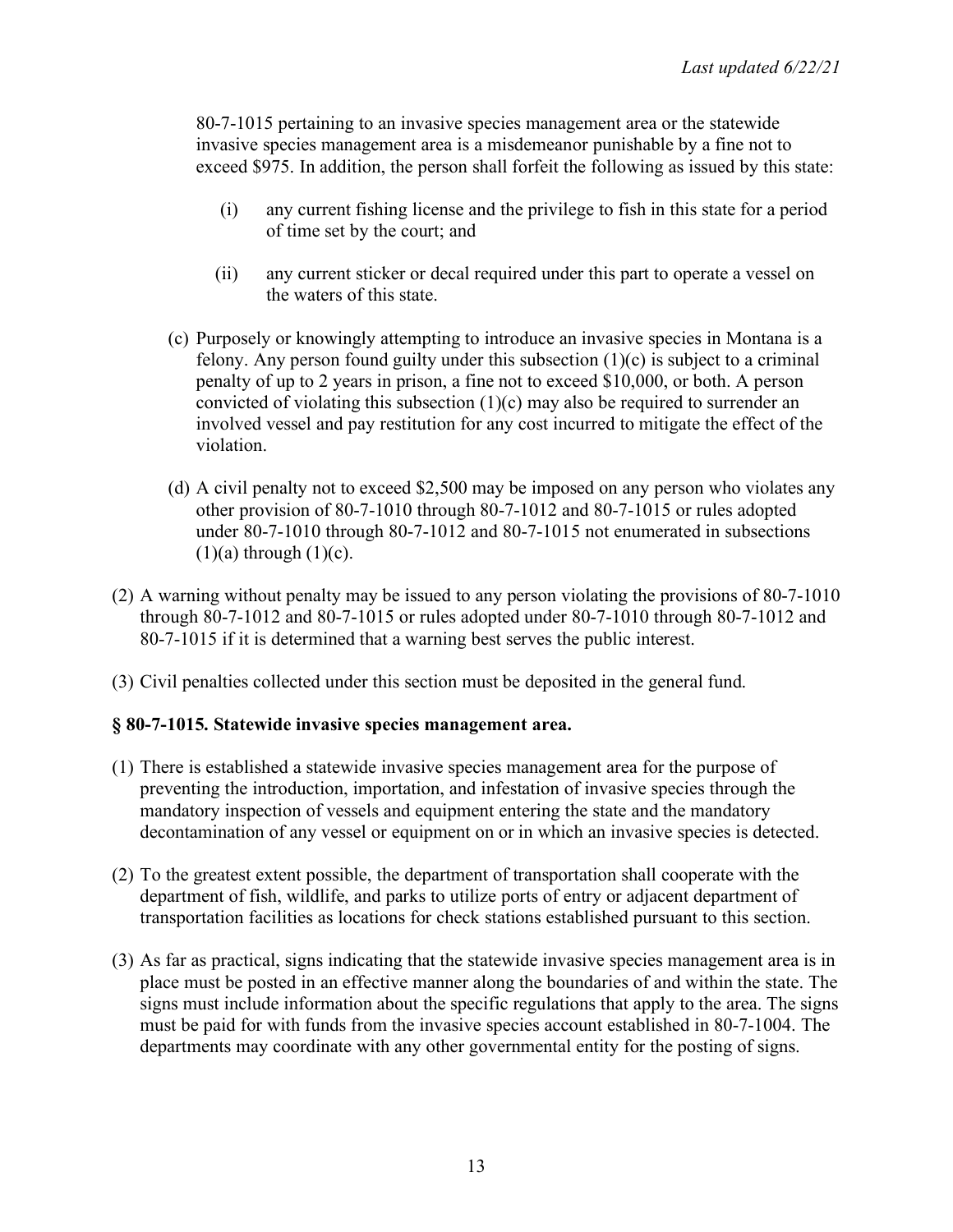80-7-1015 pertaining to an invasive species management area or the statewide invasive species management area is a misdemeanor punishable by a fine not to exceed \$975. In addition, the person shall forfeit the following as issued by this state:

- (i) any current fishing license and the privilege to fish in this state for a period of time set by the court; and
- (ii) any current sticker or decal required under this part to operate a vessel on the waters of this state.
- (c) Purposely or knowingly attempting to introduce an invasive species in Montana is a felony. Any person found guilty under this subsection  $(1)(c)$  is subject to a criminal penalty of up to 2 years in prison, a fine not to exceed \$10,000, or both. A person convicted of violating this subsection  $(1)(c)$  may also be required to surrender an involved vessel and pay restitution for any cost incurred to mitigate the effect of the violation.
- (d) A civil penalty not to exceed \$2,500 may be imposed on any person who violates any other provision of 80-7-1010 through 80-7-1012 and 80-7-1015 or rules adopted under 80-7-1010 through 80-7-1012 and 80-7-1015 not enumerated in subsections  $(1)(a)$  through  $(1)(c)$ .
- (2) A warning without penalty may be issued to any person violating the provisions of 80-7-1010 through 80-7-1012 and 80-7-1015 or rules adopted under 80-7-1010 through 80-7-1012 and 80-7-1015 if it is determined that a warning best serves the public interest.
- (3) Civil penalties collected under this section must be deposited in the general fund.

### **§ 80-7-1015. Statewide invasive species management area.**

- (1) There is established a statewide invasive species management area for the purpose of preventing the introduction, importation, and infestation of invasive species through the mandatory inspection of vessels and equipment entering the state and the mandatory decontamination of any vessel or equipment on or in which an invasive species is detected.
- (2) To the greatest extent possible, the department of transportation shall cooperate with the department of fish, wildlife, and parks to utilize ports of entry or adjacent department of transportation facilities as locations for check stations established pursuant to this section.
- (3) As far as practical, signs indicating that the statewide invasive species management area is in place must be posted in an effective manner along the boundaries of and within the state. The signs must include information about the specific regulations that apply to the area. The signs must be paid for with funds from the invasive species account established in 80-7-1004. The departments may coordinate with any other governmental entity for the posting of signs.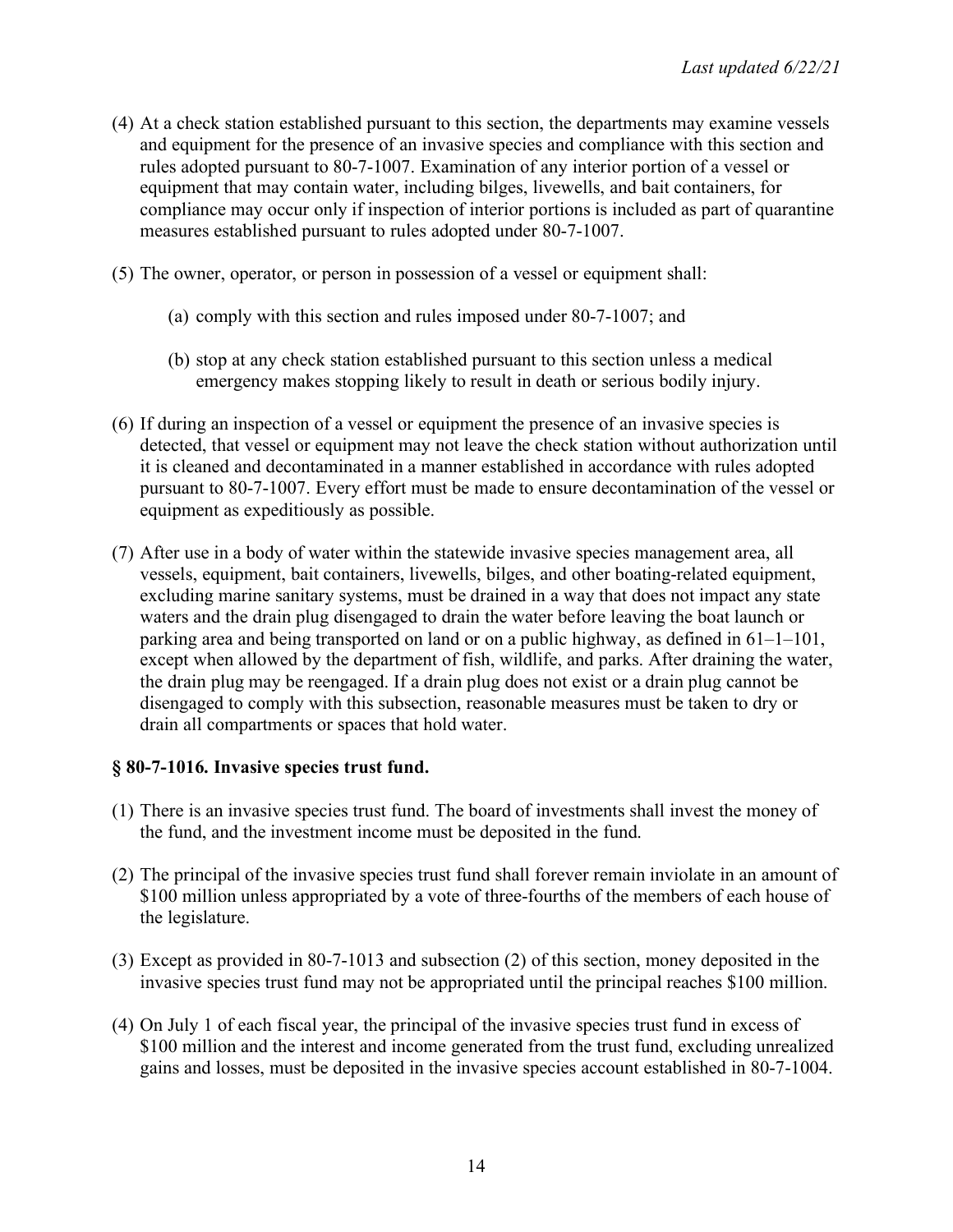- (4) At a check station established pursuant to this section, the departments may examine vessels and equipment for the presence of an invasive species and compliance with this section and rules adopted pursuant to 80-7-1007. Examination of any interior portion of a vessel or equipment that may contain water, including bilges, livewells, and bait containers, for compliance may occur only if inspection of interior portions is included as part of quarantine measures established pursuant to rules adopted under 80-7-1007.
- (5) The owner, operator, or person in possession of a vessel or equipment shall:
	- (a) comply with this section and rules imposed under 80-7-1007; and
	- (b) stop at any check station established pursuant to this section unless a medical emergency makes stopping likely to result in death or serious bodily injury.
- (6) If during an inspection of a vessel or equipment the presence of an invasive species is detected, that vessel or equipment may not leave the check station without authorization until it is cleaned and decontaminated in a manner established in accordance with rules adopted pursuant to 80-7-1007. Every effort must be made to ensure decontamination of the vessel or equipment as expeditiously as possible.
- (7) After use in a body of water within the statewide invasive species management area, all vessels, equipment, bait containers, livewells, bilges, and other boating-related equipment, excluding marine sanitary systems, must be drained in a way that does not impact any state waters and the drain plug disengaged to drain the water before leaving the boat launch or parking area and being transported on land or on a public highway, as defined in 61–1–101, except when allowed by the department of fish, wildlife, and parks. After draining the water, the drain plug may be reengaged. If a drain plug does not exist or a drain plug cannot be disengaged to comply with this subsection, reasonable measures must be taken to dry or drain all compartments or spaces that hold water.

### **§ 80-7-1016. Invasive species trust fund.**

- (1) There is an invasive species trust fund. The board of investments shall invest the money of the fund, and the investment income must be deposited in the fund.
- (2) The principal of the invasive species trust fund shall forever remain inviolate in an amount of \$100 million unless appropriated by a vote of three-fourths of the members of each house of the legislature.
- (3) Except as provided in 80-7-1013 and subsection (2) of this section, money deposited in the invasive species trust fund may not be appropriated until the principal reaches \$100 million.
- (4) On July 1 of each fiscal year, the principal of the invasive species trust fund in excess of \$100 million and the interest and income generated from the trust fund, excluding unrealized gains and losses, must be deposited in the invasive species account established in 80-7-1004.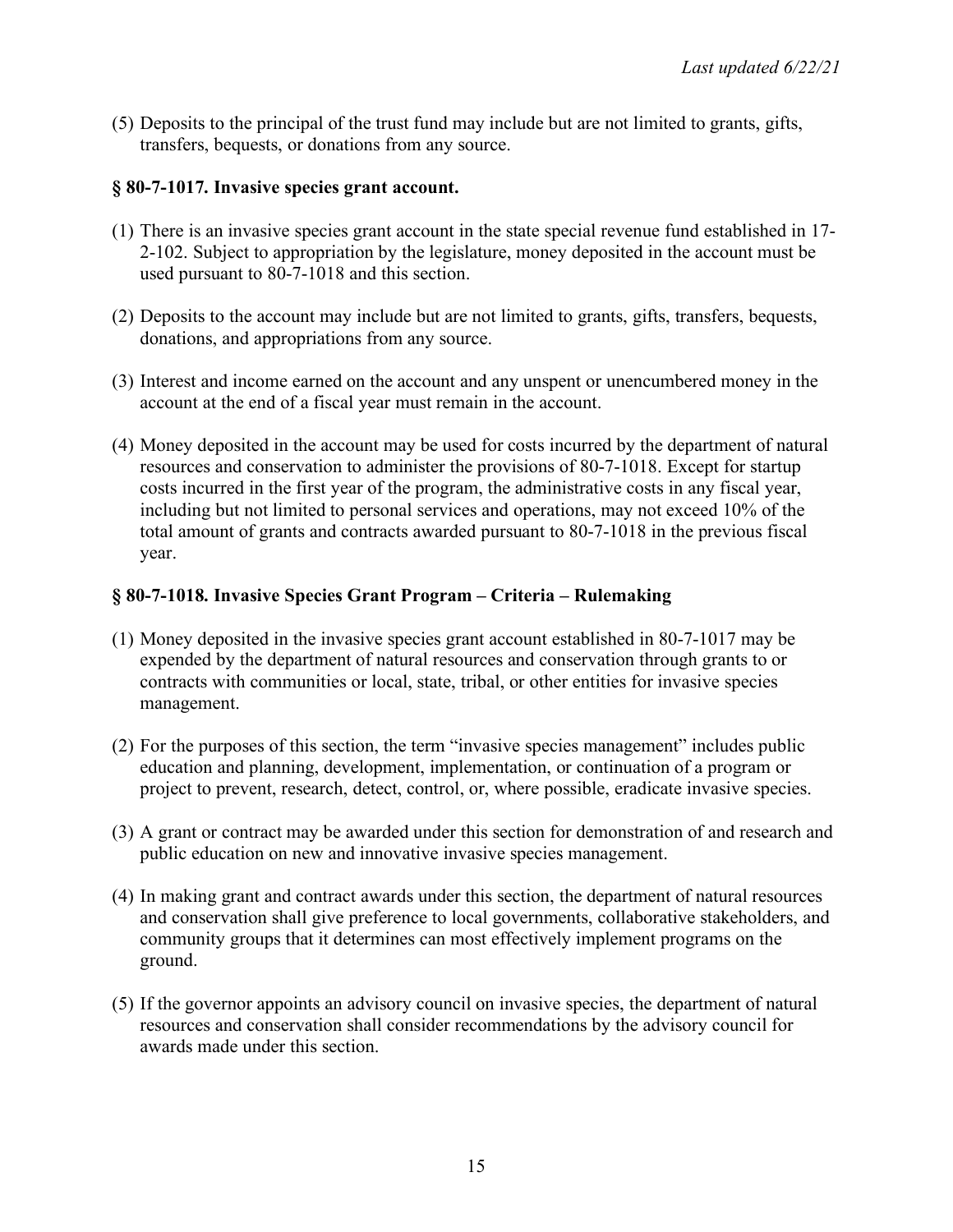(5) Deposits to the principal of the trust fund may include but are not limited to grants, gifts, transfers, bequests, or donations from any source.

### **§ 80-7-1017. Invasive species grant account.**

- (1) There is an invasive species grant account in the state special revenue fund established in 17- 2-102. Subject to appropriation by the legislature, money deposited in the account must be used pursuant to 80-7-1018 and this section.
- (2) Deposits to the account may include but are not limited to grants, gifts, transfers, bequests, donations, and appropriations from any source.
- (3) Interest and income earned on the account and any unspent or unencumbered money in the account at the end of a fiscal year must remain in the account.
- (4) Money deposited in the account may be used for costs incurred by the department of natural resources and conservation to administer the provisions of 80-7-1018. Except for startup costs incurred in the first year of the program, the administrative costs in any fiscal year, including but not limited to personal services and operations, may not exceed 10% of the total amount of grants and contracts awarded pursuant to 80-7-1018 in the previous fiscal year.

# **§ 80-7-1018. Invasive Species Grant Program – Criteria – Rulemaking**

- (1) Money deposited in the invasive species grant account established in 80-7-1017 may be expended by the department of natural resources and conservation through grants to or contracts with communities or local, state, tribal, or other entities for invasive species management.
- (2) For the purposes of this section, the term "invasive species management" includes public education and planning, development, implementation, or continuation of a program or project to prevent, research, detect, control, or, where possible, eradicate invasive species.
- (3) A grant or contract may be awarded under this section for demonstration of and research and public education on new and innovative invasive species management.
- (4) In making grant and contract awards under this section, the department of natural resources and conservation shall give preference to local governments, collaborative stakeholders, and community groups that it determines can most effectively implement programs on the ground.
- (5) If the governor appoints an advisory council on invasive species, the department of natural resources and conservation shall consider recommendations by the advisory council for awards made under this section.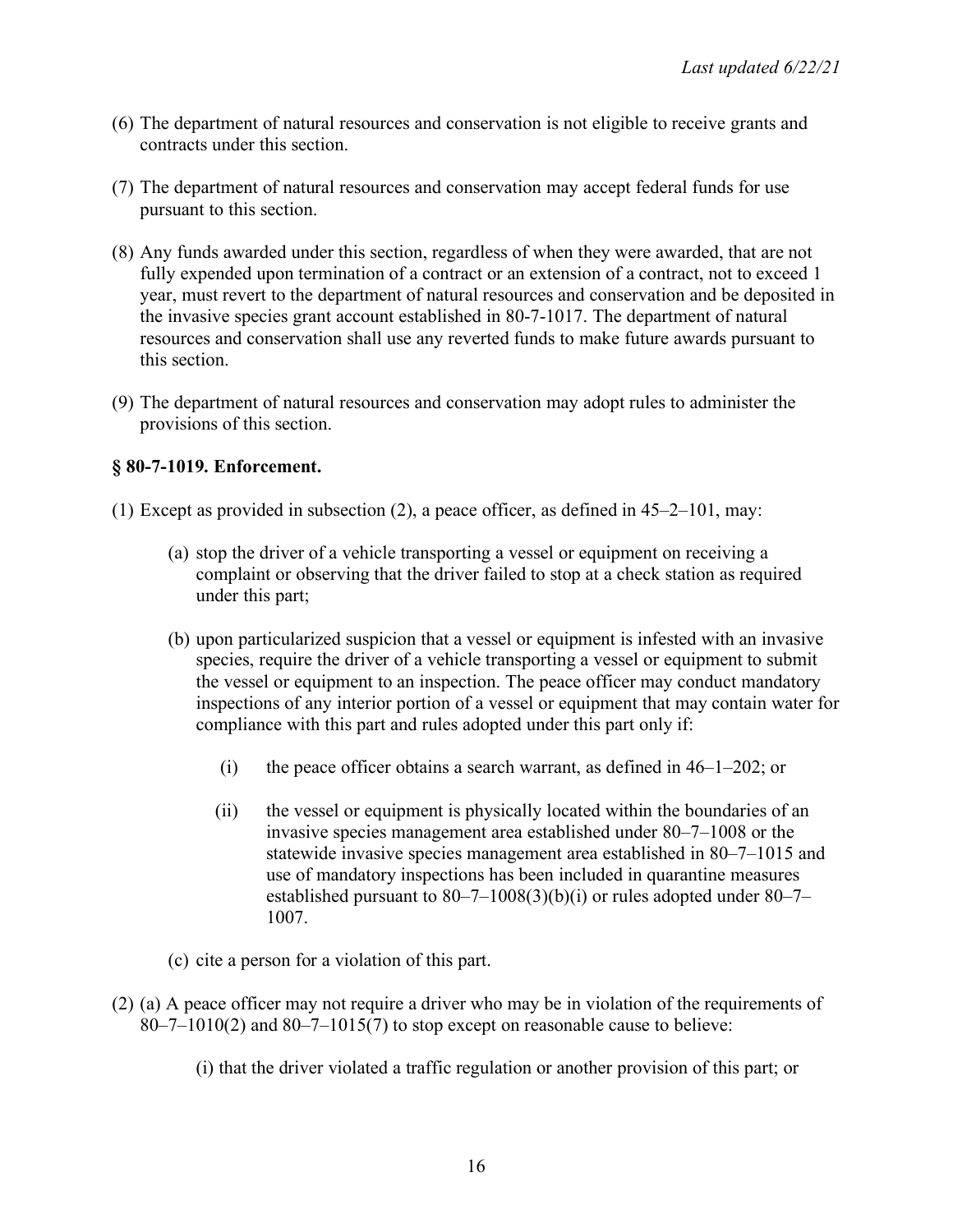- (6) The department of natural resources and conservation is not eligible to receive grants and contracts under this section.
- (7) The department of natural resources and conservation may accept federal funds for use pursuant to this section.
- (8) Any funds awarded under this section, regardless of when they were awarded, that are not fully expended upon termination of a contract or an extension of a contract, not to exceed 1 year, must revert to the department of natural resources and conservation and be deposited in the invasive species grant account established in 80-7-1017. The department of natural resources and conservation shall use any reverted funds to make future awards pursuant to this section.
- (9) The department of natural resources and conservation may adopt rules to administer the provisions of this section.

### **§ 80-7-1019. Enforcement.**

- (1) Except as provided in subsection (2), a peace officer, as defined in 45–2–101, may:
	- (a) stop the driver of a vehicle transporting a vessel or equipment on receiving a complaint or observing that the driver failed to stop at a check station as required under this part;
	- (b) upon particularized suspicion that a vessel or equipment is infested with an invasive species, require the driver of a vehicle transporting a vessel or equipment to submit the vessel or equipment to an inspection. The peace officer may conduct mandatory inspections of any interior portion of a vessel or equipment that may contain water for compliance with this part and rules adopted under this part only if:
		- (i) the peace officer obtains a search warrant, as defined in  $46-1-202$ ; or
		- (ii) the vessel or equipment is physically located within the boundaries of an invasive species management area established under 80–7–1008 or the statewide invasive species management area established in 80–7–1015 and use of mandatory inspections has been included in quarantine measures established pursuant to  $80-7-1008(3)(b)(i)$  or rules adopted under  $80-7-$ 1007.
	- (c) cite a person for a violation of this part.
- (2) (a) A peace officer may not require a driver who may be in violation of the requirements of  $80-7-1010(2)$  and  $80-7-1015(7)$  to stop except on reasonable cause to believe:

(i) that the driver violated a traffic regulation or another provision of this part; or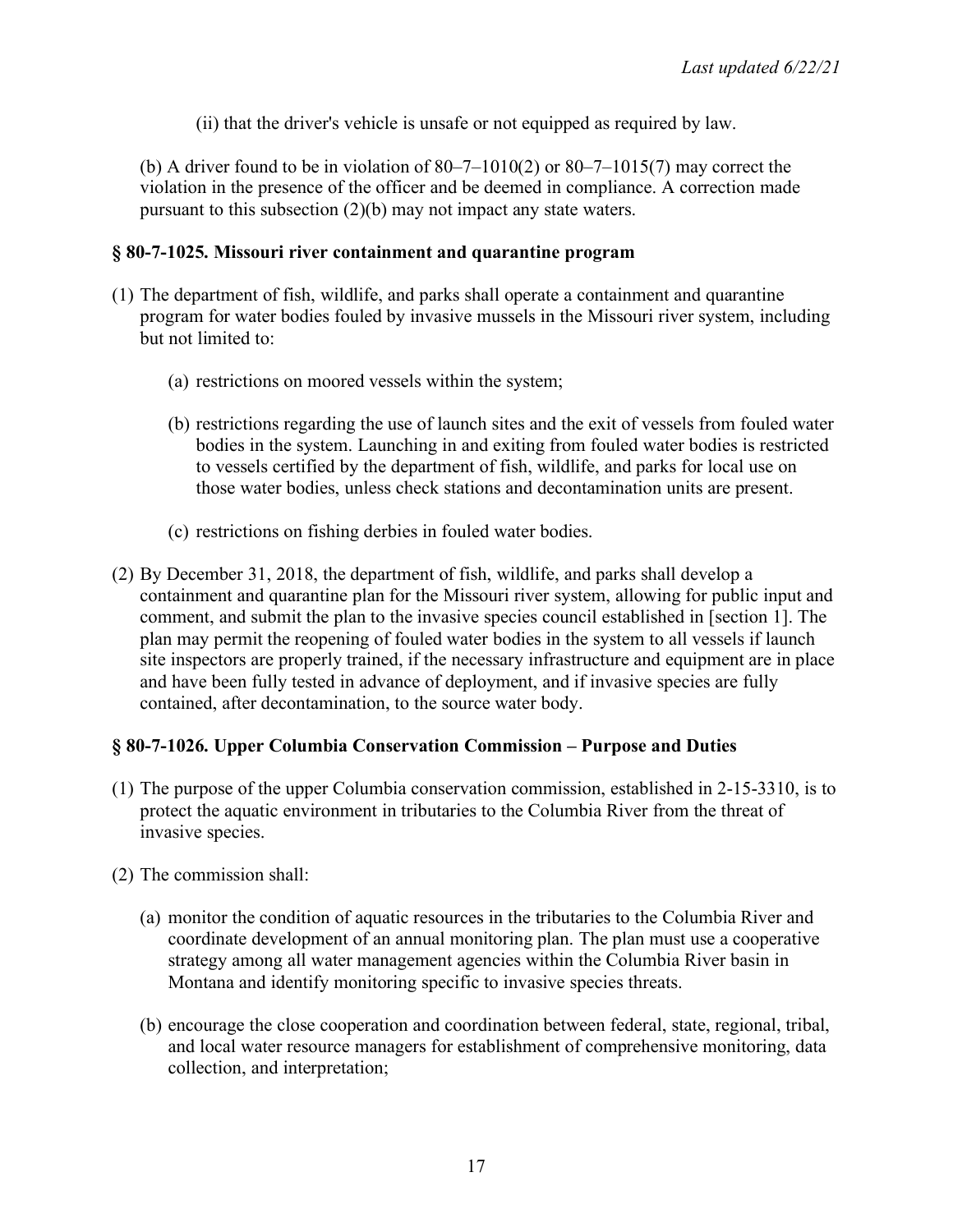(ii) that the driver's vehicle is unsafe or not equipped as required by law.

(b) A driver found to be in violation of  $80 - 7 - 1010(2)$  or  $80 - 7 - 1015(7)$  may correct the violation in the presence of the officer and be deemed in compliance. A correction made pursuant to this subsection (2)(b) may not impact any state waters.

### **§ 80-7-1025. Missouri river containment and quarantine program**

- (1) The department of fish, wildlife, and parks shall operate a containment and quarantine program for water bodies fouled by invasive mussels in the Missouri river system, including but not limited to:
	- (a) restrictions on moored vessels within the system;
	- (b) restrictions regarding the use of launch sites and the exit of vessels from fouled water bodies in the system. Launching in and exiting from fouled water bodies is restricted to vessels certified by the department of fish, wildlife, and parks for local use on those water bodies, unless check stations and decontamination units are present.
	- (c) restrictions on fishing derbies in fouled water bodies.
- (2) By December 31, 2018, the department of fish, wildlife, and parks shall develop a containment and quarantine plan for the Missouri river system, allowing for public input and comment, and submit the plan to the invasive species council established in [section 1]. The plan may permit the reopening of fouled water bodies in the system to all vessels if launch site inspectors are properly trained, if the necessary infrastructure and equipment are in place and have been fully tested in advance of deployment, and if invasive species are fully contained, after decontamination, to the source water body.

# **§ 80-7-1026. Upper Columbia Conservation Commission – Purpose and Duties**

- (1) The purpose of the upper Columbia conservation commission, established in 2-15-3310, is to protect the aquatic environment in tributaries to the Columbia River from the threat of invasive species.
- (2) The commission shall:
	- (a) monitor the condition of aquatic resources in the tributaries to the Columbia River and coordinate development of an annual monitoring plan. The plan must use a cooperative strategy among all water management agencies within the Columbia River basin in Montana and identify monitoring specific to invasive species threats.
	- (b) encourage the close cooperation and coordination between federal, state, regional, tribal, and local water resource managers for establishment of comprehensive monitoring, data collection, and interpretation;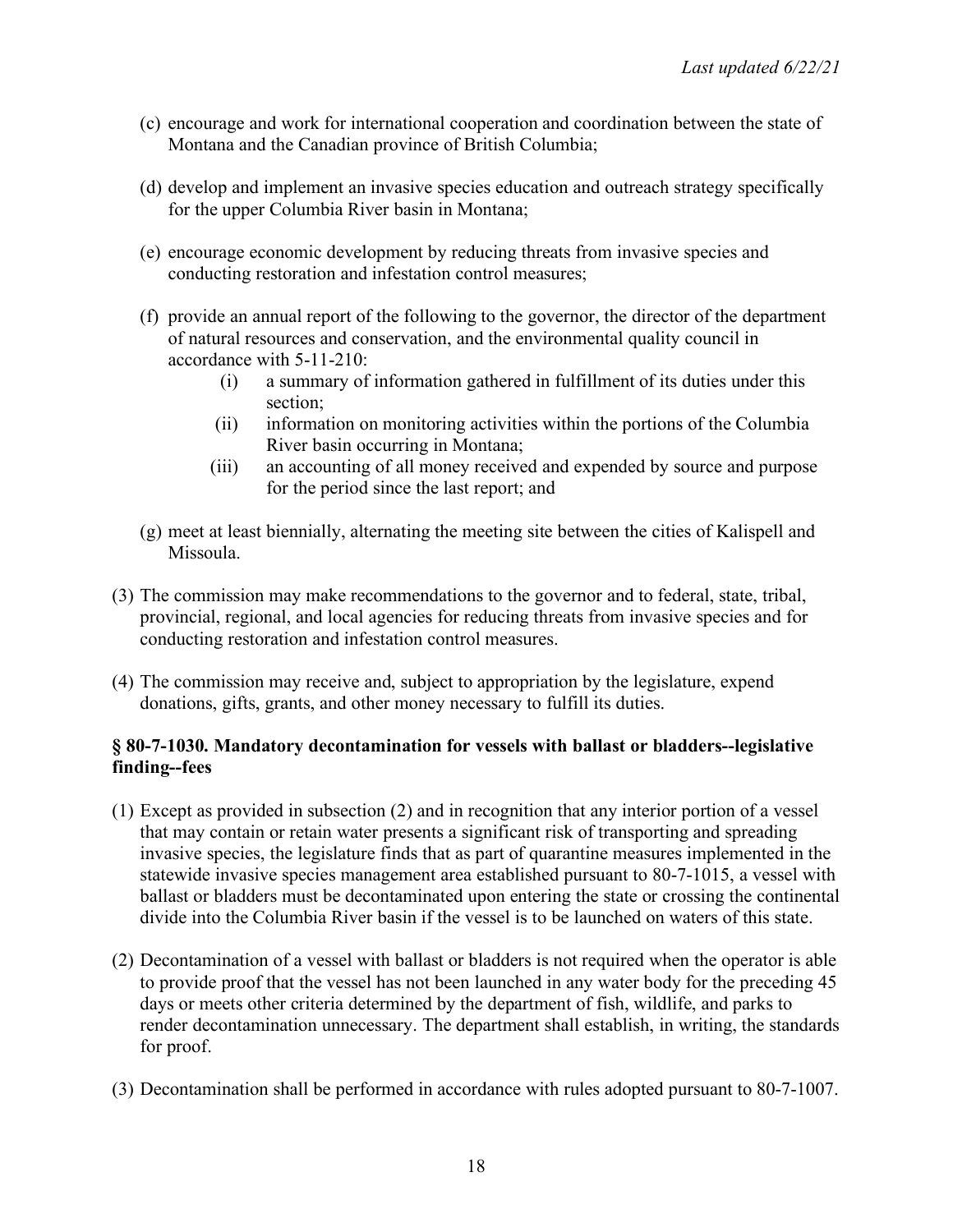- (c) encourage and work for international cooperation and coordination between the state of Montana and the Canadian province of British Columbia;
- (d) develop and implement an invasive species education and outreach strategy specifically for the upper Columbia River basin in Montana;
- (e) encourage economic development by reducing threats from invasive species and conducting restoration and infestation control measures;
- (f) provide an annual report of the following to the governor, the director of the department of natural resources and conservation, and the environmental quality council in accordance with 5-11-210:
	- (i) a summary of information gathered in fulfillment of its duties under this section;
	- (ii) information on monitoring activities within the portions of the Columbia River basin occurring in Montana;
	- (iii) an accounting of all money received and expended by source and purpose for the period since the last report; and
- (g) meet at least biennially, alternating the meeting site between the cities of Kalispell and Missoula.
- (3) The commission may make recommendations to the governor and to federal, state, tribal, provincial, regional, and local agencies for reducing threats from invasive species and for conducting restoration and infestation control measures.
- (4) The commission may receive and, subject to appropriation by the legislature, expend donations, gifts, grants, and other money necessary to fulfill its duties.

### **§ 80-7-1030. Mandatory decontamination for vessels with ballast or bladders--legislative finding--fees**

- (1) Except as provided in subsection (2) and in recognition that any interior portion of a vessel that may contain or retain water presents a significant risk of transporting and spreading invasive species, the legislature finds that as part of quarantine measures implemented in the statewide invasive species management area established pursuant to 80-7-1015, a vessel with ballast or bladders must be decontaminated upon entering the state or crossing the continental divide into the Columbia River basin if the vessel is to be launched on waters of this state.
- (2) Decontamination of a vessel with ballast or bladders is not required when the operator is able to provide proof that the vessel has not been launched in any water body for the preceding 45 days or meets other criteria determined by the department of fish, wildlife, and parks to render decontamination unnecessary. The department shall establish, in writing, the standards for proof.
- (3) Decontamination shall be performed in accordance with rules adopted pursuant to 80-7-1007.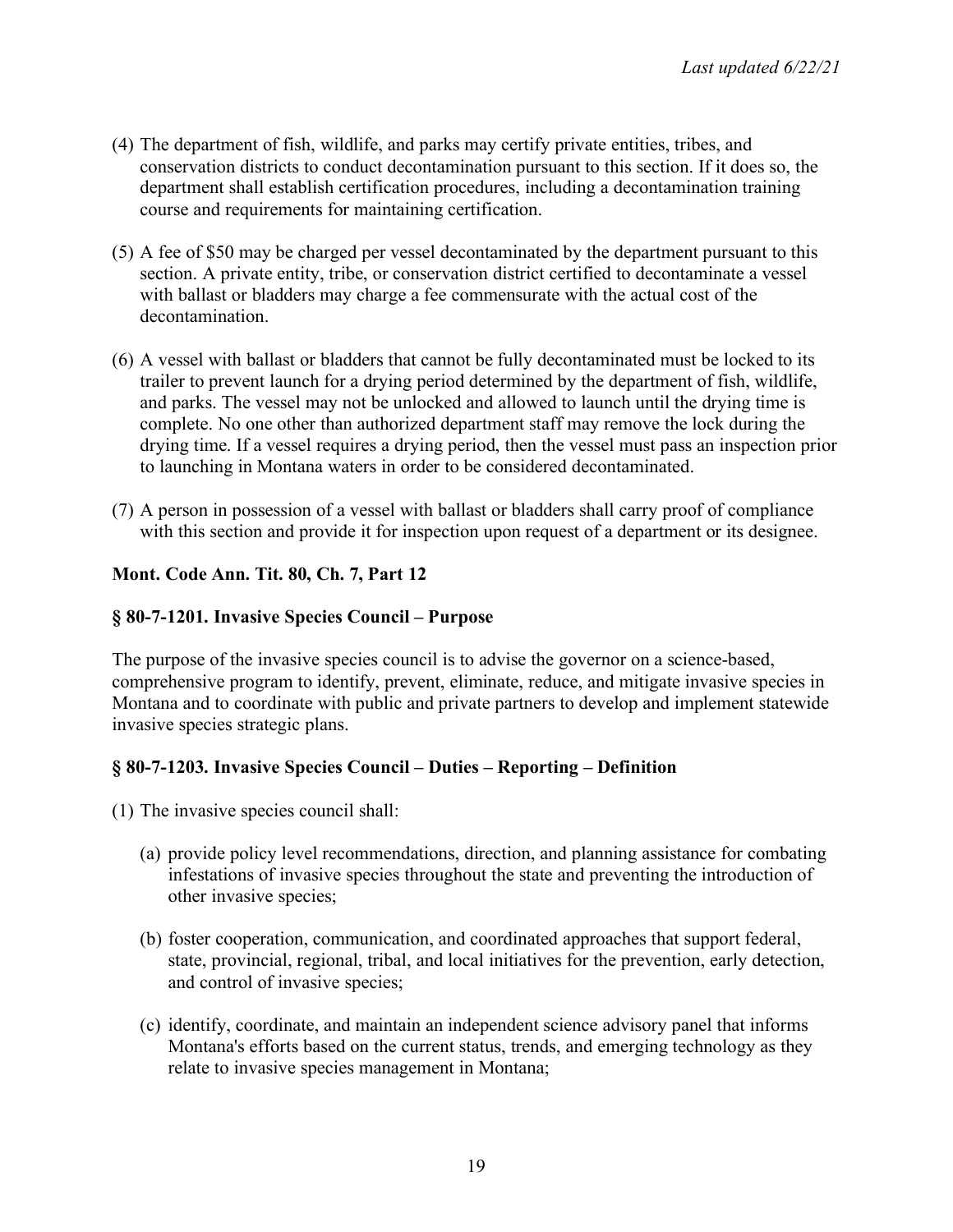- (4) The department of fish, wildlife, and parks may certify private entities, tribes, and conservation districts to conduct decontamination pursuant to this section. If it does so, the department shall establish certification procedures, including a decontamination training course and requirements for maintaining certification.
- (5) A fee of \$50 may be charged per vessel decontaminated by the department pursuant to this section. A private entity, tribe, or conservation district certified to decontaminate a vessel with ballast or bladders may charge a fee commensurate with the actual cost of the decontamination.
- (6) A vessel with ballast or bladders that cannot be fully decontaminated must be locked to its trailer to prevent launch for a drying period determined by the department of fish, wildlife, and parks. The vessel may not be unlocked and allowed to launch until the drying time is complete. No one other than authorized department staff may remove the lock during the drying time. If a vessel requires a drying period, then the vessel must pass an inspection prior to launching in Montana waters in order to be considered decontaminated.
- (7) A person in possession of a vessel with ballast or bladders shall carry proof of compliance with this section and provide it for inspection upon request of a department or its designee.

# **Mont. Code Ann. Tit. 80, Ch. 7, Part 12**

# **§ 80-7-1201. Invasive Species Council – Purpose**

The purpose of the invasive species council is to advise the governor on a science-based, comprehensive program to identify, prevent, eliminate, reduce, and mitigate invasive species in Montana and to coordinate with public and private partners to develop and implement statewide invasive species strategic plans.

# **§ 80-7-1203. Invasive Species Council – Duties – Reporting – Definition**

- (1) The invasive species council shall:
	- (a) provide policy level recommendations, direction, and planning assistance for combating infestations of invasive species throughout the state and preventing the introduction of other invasive species;
	- (b) foster cooperation, communication, and coordinated approaches that support federal, state, provincial, regional, tribal, and local initiatives for the prevention, early detection, and control of invasive species;
	- (c) identify, coordinate, and maintain an independent science advisory panel that informs Montana's efforts based on the current status, trends, and emerging technology as they relate to invasive species management in Montana;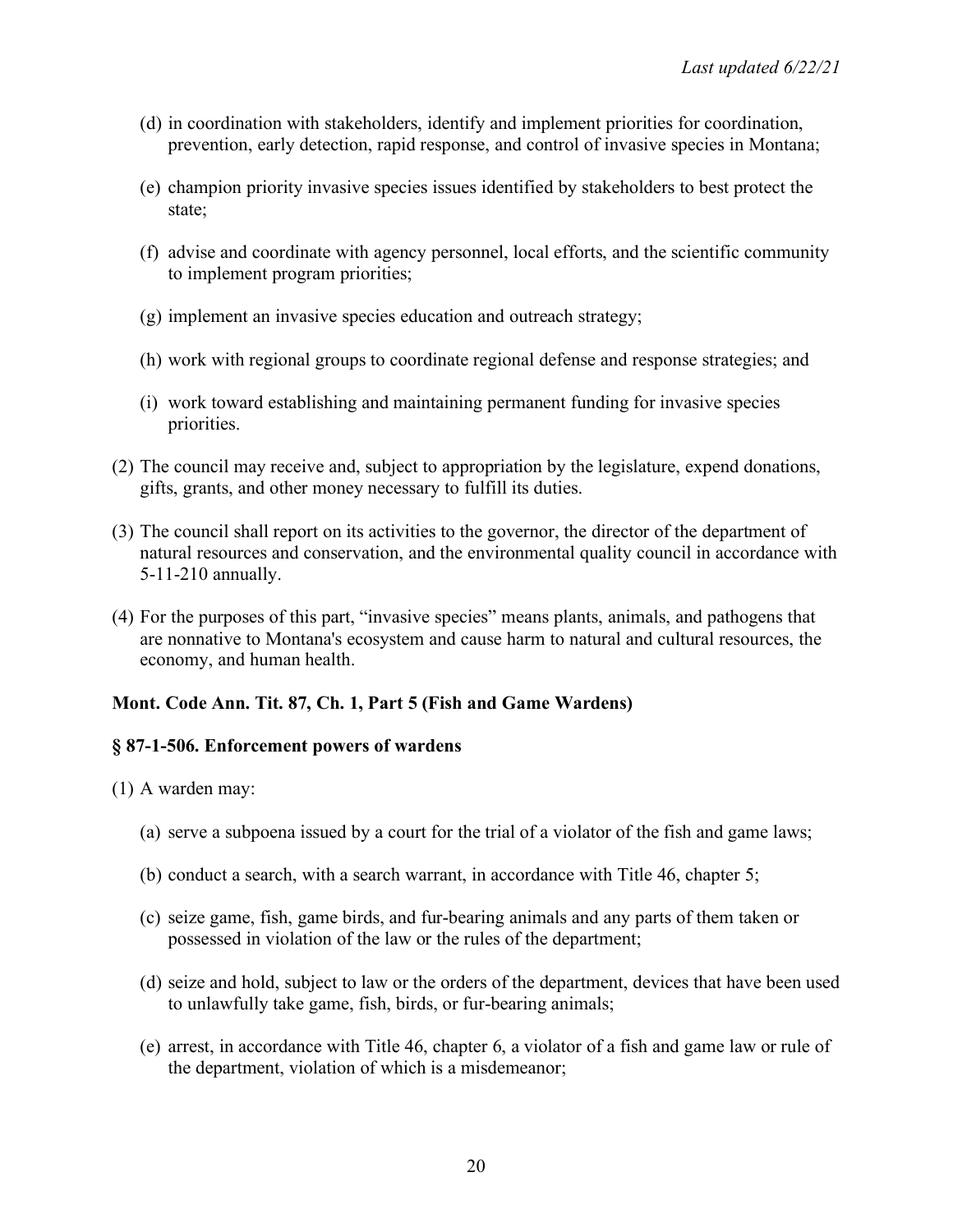- (d) in coordination with stakeholders, identify and implement priorities for coordination, prevention, early detection, rapid response, and control of invasive species in Montana;
- (e) champion priority invasive species issues identified by stakeholders to best protect the state;
- (f) advise and coordinate with agency personnel, local efforts, and the scientific community to implement program priorities;
- (g) implement an invasive species education and outreach strategy;
- (h) work with regional groups to coordinate regional defense and response strategies; and
- (i) work toward establishing and maintaining permanent funding for invasive species priorities.
- (2) The council may receive and, subject to appropriation by the legislature, expend donations, gifts, grants, and other money necessary to fulfill its duties.
- (3) The council shall report on its activities to the governor, the director of the department of natural resources and conservation, and the environmental quality council in accordance with 5-11-210 annually.
- (4) For the purposes of this part, "invasive species" means plants, animals, and pathogens that are nonnative to Montana's ecosystem and cause harm to natural and cultural resources, the economy, and human health.

### **Mont. Code Ann. Tit. 87, Ch. 1, Part 5 (Fish and Game Wardens)**

#### **§ 87-1-506. Enforcement powers of wardens**

- (1) A warden may:
	- (a) serve a subpoena issued by a court for the trial of a violator of the fish and game laws;
	- (b) conduct a search, with a search warrant, in accordance with Title 46, chapter 5;
	- (c) seize game, fish, game birds, and fur-bearing animals and any parts of them taken or possessed in violation of the law or the rules of the department;
	- (d) seize and hold, subject to law or the orders of the department, devices that have been used to unlawfully take game, fish, birds, or fur-bearing animals;
	- (e) arrest, in accordance with Title 46, chapter 6, a violator of a fish and game law or rule of the department, violation of which is a misdemeanor;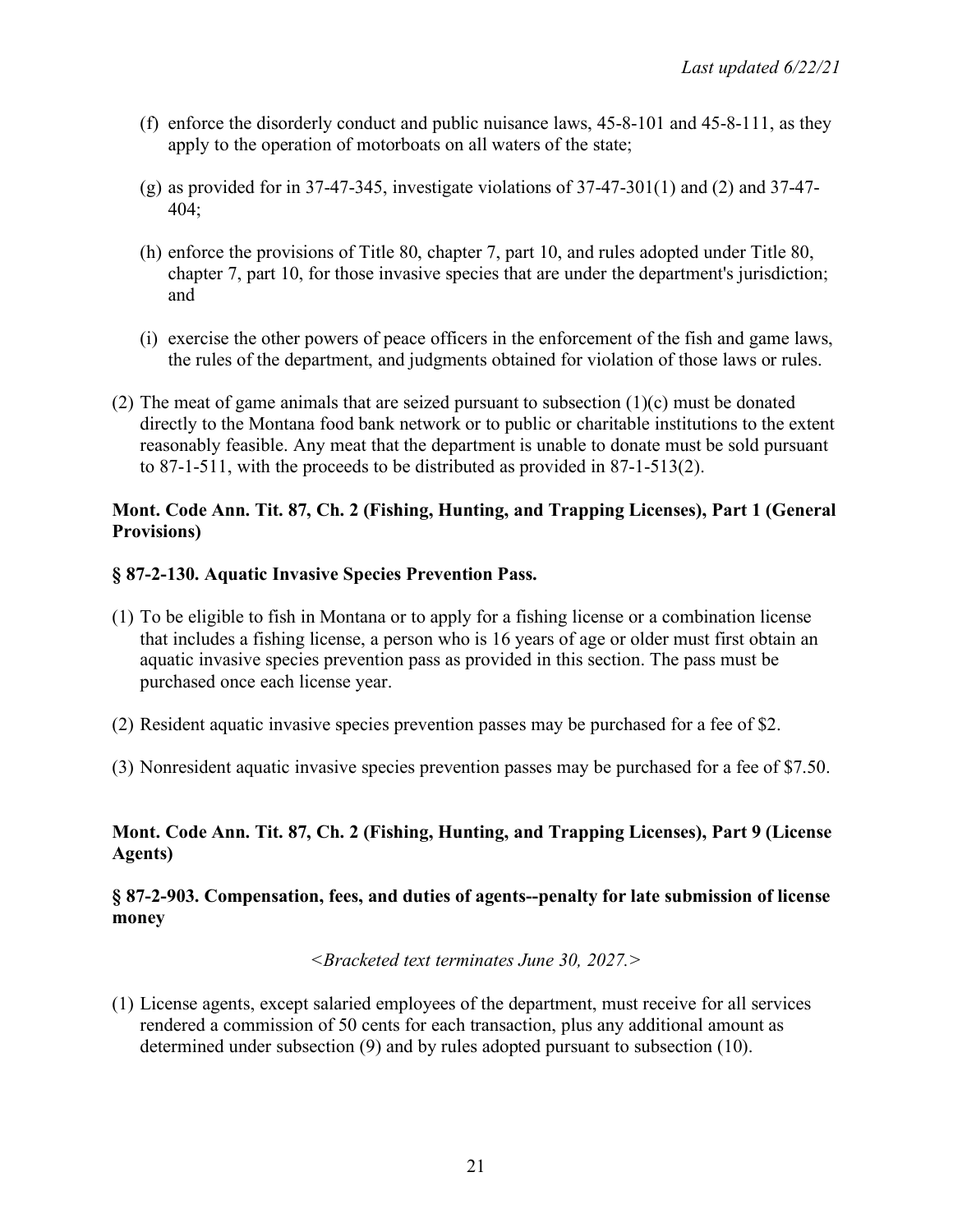- (f) enforce the disorderly conduct and public nuisance laws, 45-8-101 and 45-8-111, as they apply to the operation of motorboats on all waters of the state;
- (g) as provided for in 37-47-345, investigate violations of 37-47-301(1) and (2) and 37-47- 404;
- (h) enforce the provisions of Title 80, chapter 7, part 10, and rules adopted under Title 80, chapter 7, part 10, for those invasive species that are under the department's jurisdiction; and
- (i) exercise the other powers of peace officers in the enforcement of the fish and game laws, the rules of the department, and judgments obtained for violation of those laws or rules.
- (2) The meat of game animals that are seized pursuant to subsection  $(1)(c)$  must be donated directly to the Montana food bank network or to public or charitable institutions to the extent reasonably feasible. Any meat that the department is unable to donate must be sold pursuant to 87-1-511, with the proceeds to be distributed as provided in 87-1-513(2).

### **Mont. Code Ann. Tit. 87, Ch. 2 (Fishing, Hunting, and Trapping Licenses), Part 1 (General Provisions)**

### **§ 87-2-130. Aquatic Invasive Species Prevention Pass.**

- (1) To be eligible to fish in Montana or to apply for a fishing license or a combination license that includes a fishing license, a person who is 16 years of age or older must first obtain an aquatic invasive species prevention pass as provided in this section. The pass must be purchased once each license year.
- (2) Resident aquatic invasive species prevention passes may be purchased for a fee of \$2.
- (3) Nonresident aquatic invasive species prevention passes may be purchased for a fee of \$7.50.

### **Mont. Code Ann. Tit. 87, Ch. 2 (Fishing, Hunting, and Trapping Licenses), Part 9 (License Agents)**

### **§ 87-2-903. Compensation, fees, and duties of agents--penalty for late submission of license money**

*<Bracketed text terminates June 30, 2027.>*

(1) License agents, except salaried employees of the department, must receive for all services rendered a commission of 50 cents for each transaction, plus any additional amount as determined under subsection (9) and by rules adopted pursuant to subsection (10).